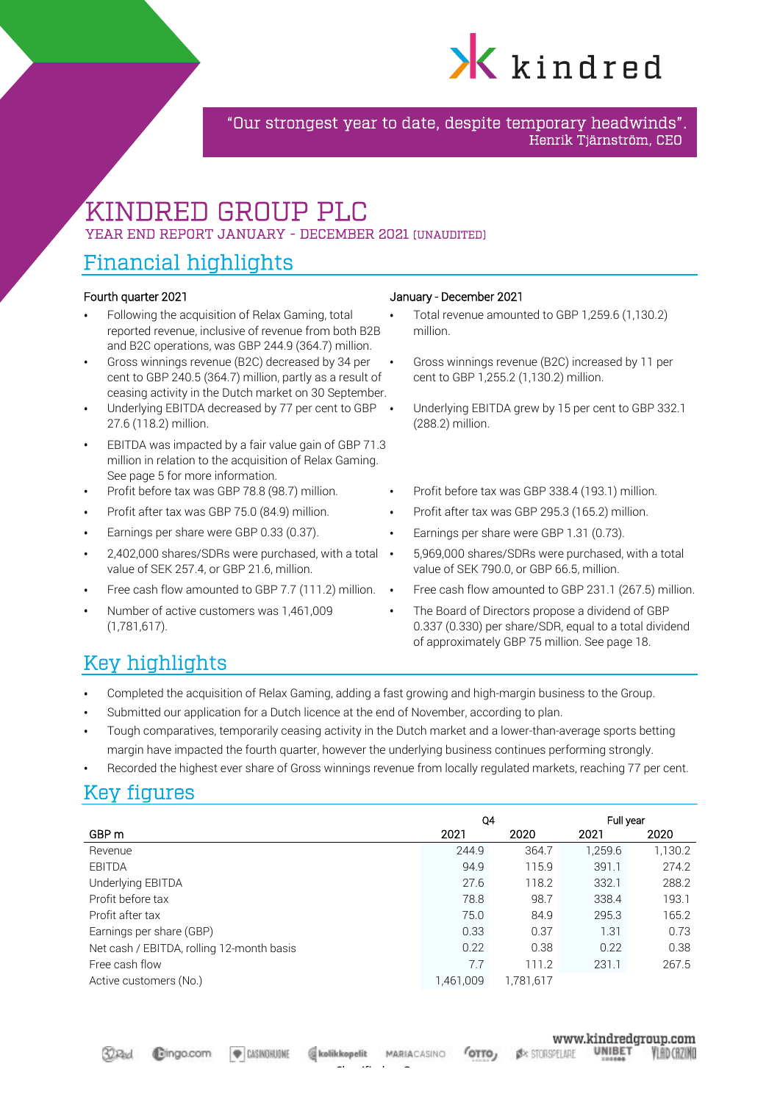

"Our strongest year to date, despite temporary headwinds". Henrik Tjärnström, CEO

# KINDRED GROUP PLC YEAR END REPORT JANUARY - DECEMBER 2021 (UNAUDITED)

# Financial highlights

- Following the acquisition of Relax Gaming, total reported revenue, inclusive of revenue from both B2B and B2C operations, was GBP 244.9 (364.7) million.
- Gross winnings revenue (B2C) decreased by 34 per cent to GBP 240.5 (364.7) million, partly as a result of ceasing activity in the Dutch market on 30 September.
- Underlying EBITDA decreased by 77 per cent to GBP 27.6 (118.2) million.
- EBITDA was impacted by a fair value gain of GBP 71.3 million in relation to the acquisition of Relax Gaming. See page 5 for more information.
- 
- 
- 
- 2,402,000 shares/SDRs were purchased, with a total value of SEK 257.4, or GBP 21.6, million.
- 
- Number of active customers was 1,461,009 (1,781,617).

#### Fourth quarter 2021 January - December 2021

- Total revenue amounted to GBP 1,259.6 (1,130.2) million.
- Gross winnings revenue (B2C) increased by 11 per cent to GBP 1,255.2 (1,130.2) million.
- Underlying EBITDA grew by 15 per cent to GBP 332.1 (288.2) million.
- Profit before tax was GBP 78.8 (98.7) million. Profit before tax was GBP 338.4 (193.1) million.
- Profit after tax was GBP 75.0 (84.9) million. Profit after tax was GBP 295.3 (165.2) million.
- Earnings per share were GBP 0.33 (0.37). Earnings per share were GBP 1.31 (0.73).
	- $\bullet$ 5,969,000 shares/SDRs were purchased, with a total value of SEK 790.0, or GBP 66.5, million.
- Free cash flow amounted to GBP 7.7 (111.2) million. Free cash flow amounted to GBP 231.1 (267.5) million.
	- The Board of Directors propose a dividend of GBP 0.337 (0.330) per share/SDR, equal to a total dividend of approximately GBP 75 million. See page 18.

# Key highlights

- Completed the acquisition of Relax Gaming, adding a fast growing and high-margin business to the Group.
- Submitted our application for a Dutch licence at the end of November, according to plan.
- Tough comparatives, temporarily ceasing activity in the Dutch market and a lower-than-average sports betting margin have impacted the fourth quarter, however the underlying business continues performing strongly.
- Recorded the highest ever share of Gross winnings revenue from locally regulated markets, reaching 77 per cent.

# Key figures

|                                           | Q4        |           | Full year |         |
|-------------------------------------------|-----------|-----------|-----------|---------|
| GBP m                                     | 2021      | 2020      | 2021      | 2020    |
| Revenue                                   | 244.9     | 364.7     | 1,259.6   | 1,130.2 |
| <b>EBITDA</b>                             | 94.9      | 115.9     | 391.1     | 274.2   |
| Underlying EBITDA                         | 27.6      | 118.2     | 332.1     | 288.2   |
| Profit before tax                         | 78.8      | 98.7      | 338.4     | 193.1   |
| Profit after tax                          | 75.0      | 84.9      | 295.3     | 165.2   |
| Earnings per share (GBP)                  | 0.33      | 0.37      | 1.31      | 0.73    |
| Net cash / EBITDA, rolling 12-month basis | 0.22      | 0.38      | 0.22      | 0.38    |
| Free cash flow                            | 7.7       | 111.2     | 231.1     | 267.5   |
| Active customers (No.)                    | 1.461.009 | 1.781.617 |           |         |

**EXSINGHUONE** 

**MARIACASINO**  $G$ <sub>TTO</sub>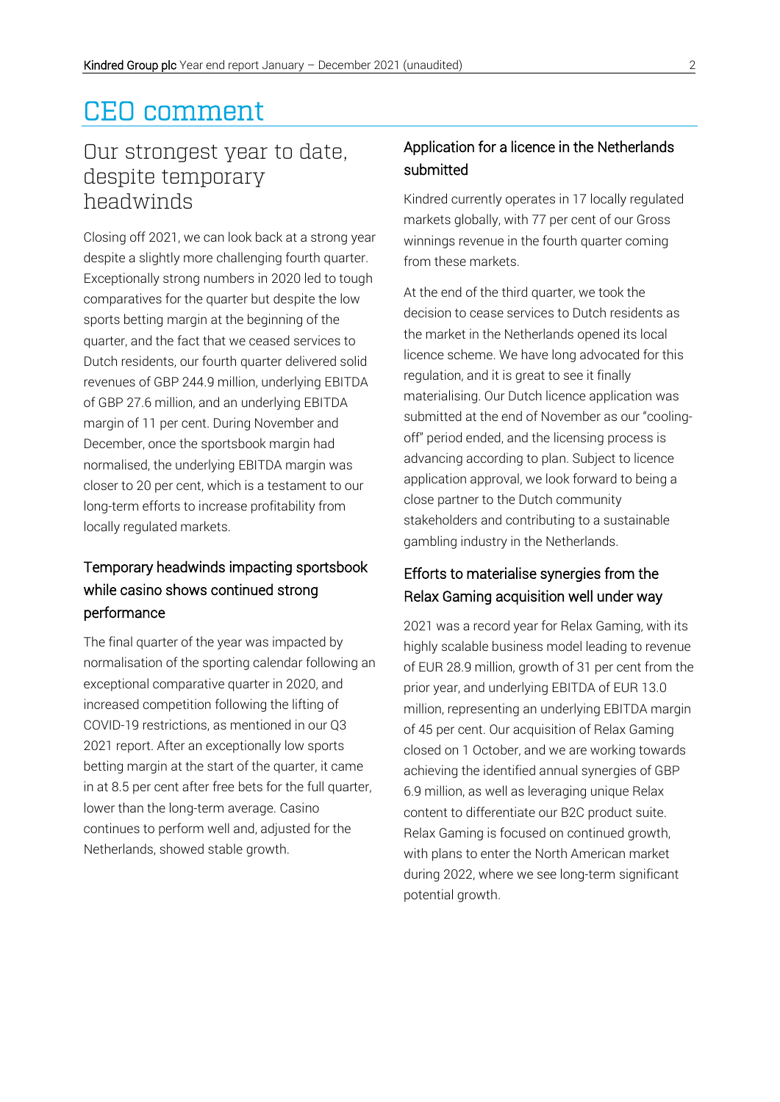# CEO comment

# Our strongest year to date, despite temporary headwinds

Closing off 2021, we can look back at a strong year despite a slightly more challenging fourth quarter. Exceptionally strong numbers in 2020 led to tough comparatives for the quarter but despite the low sports betting margin at the beginning of the quarter, and the fact that we ceased services to Dutch residents, our fourth quarter delivered solid revenues of GBP 244.9 million, underlying EBITDA of GBP 27.6 million, and an underlying EBITDA margin of 11 per cent. During November and December, once the sportsbook margin had normalised, the underlying EBITDA margin was closer to 20 per cent, which is a testament to our long-term efforts to increase profitability from locally regulated markets.

# Temporary headwinds impacting sportsbook while casino shows continued strong performance

The final quarter of the year was impacted by normalisation of the sporting calendar following an exceptional comparative quarter in 2020, and increased competition following the lifting of COVID-19 restrictions, as mentioned in our Q3 2021 report. After an exceptionally low sports betting margin at the start of the quarter, it came in at 8.5 per cent after free bets for the full quarter, lower than the long-term average. Casino continues to perform well and, adjusted for the Netherlands, showed stable growth.

## Application for a licence in the Netherlands submitted

Kindred currently operates in 17 locally regulated markets globally, with 77 per cent of our Gross winnings revenue in the fourth quarter coming from these markets.

At the end of the third quarter, we took the decision to cease services to Dutch residents as the market in the Netherlands opened its local licence scheme. We have long advocated for this regulation, and it is great to see it finally materialising. Our Dutch licence application was submitted at the end of November as our "coolingoff" period ended, and the licensing process is advancing according to plan. Subject to licence application approval, we look forward to being a close partner to the Dutch community stakeholders and contributing to a sustainable gambling industry in the Netherlands.

## Efforts to materialise synergies from the Relax Gaming acquisition well under way

2021 was a record year for Relax Gaming, with its highly scalable business model leading to revenue of EUR 28.9 million, growth of 31 per cent from the prior year, and underlying EBITDA of EUR 13.0 million, representing an underlying EBITDA margin of 45 per cent. Our acquisition of Relax Gaming closed on 1 October, and we are working towards achieving the identified annual synergies of GBP 6.9 million, as well as leveraging unique Relax content to differentiate our B2C product suite. Relax Gaming is focused on continued growth, with plans to enter the North American market during 2022, where we see long-term significant potential growth.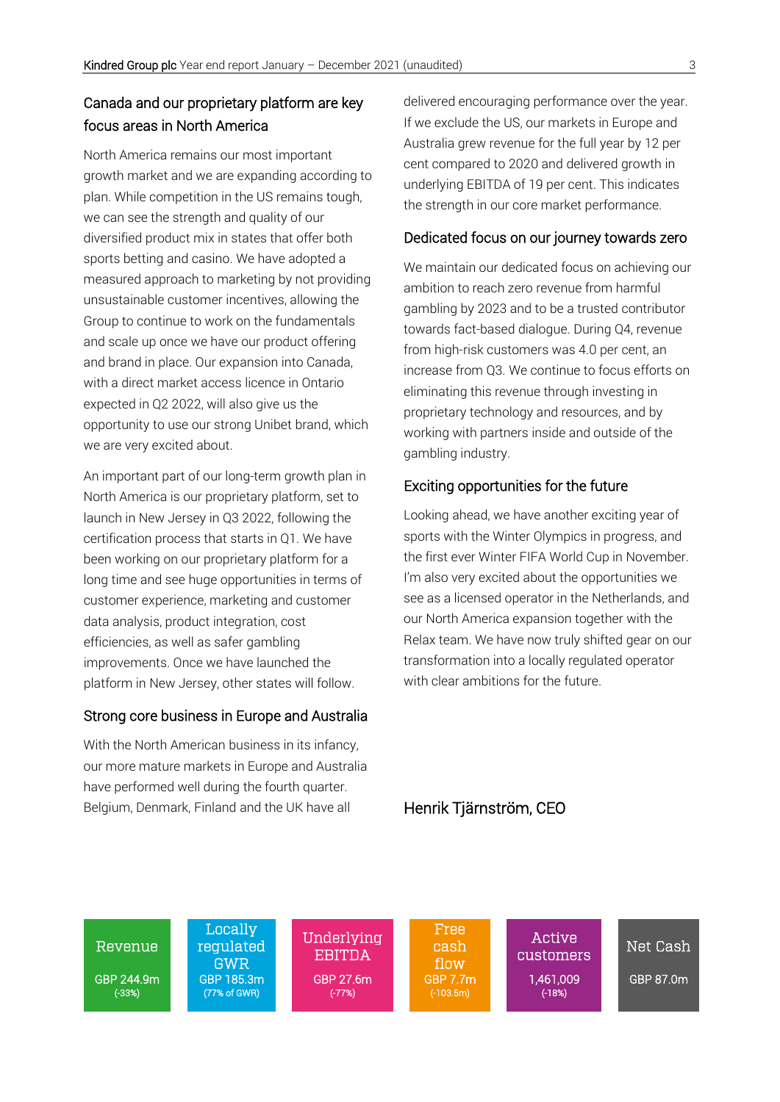## Canada and our proprietary platform are key focus areas in North America

North America remains our most important growth market and we are expanding according to plan. While competition in the US remains tough, we can see the strength and quality of our diversified product mix in states that offer both sports betting and casino. We have adopted a measured approach to marketing by not providing unsustainable customer incentives, allowing the Group to continue to work on the fundamentals and scale up once we have our product offering and brand in place. Our expansion into Canada, with a direct market access licence in Ontario expected in Q2 2022, will also give us the opportunity to use our strong Unibet brand, which we are very excited about.

An important part of our long-term growth plan in North America is our proprietary platform, set to launch in New Jersey in Q3 2022, following the certification process that starts in Q1. We have been working on our proprietary platform for a long time and see huge opportunities in terms of customer experience, marketing and customer data analysis, product integration, cost efficiencies, as well as safer gambling improvements. Once we have launched the platform in New Jersey, other states will follow.

#### Strong core business in Europe and Australia

With the North American business in its infancy, our more mature markets in Europe and Australia have performed well during the fourth quarter. Belgium, Denmark, Finland and the UK have all

delivered encouraging performance over the year. If we exclude the US, our markets in Europe and Australia grew revenue for the full year by 12 per cent compared to 2020 and delivered growth in underlying EBITDA of 19 per cent. This indicates the strength in our core market performance.

#### Dedicated focus on our journey towards zero

We maintain our dedicated focus on achieving our ambition to reach zero revenue from harmful gambling by 2023 and to be a trusted contributor towards fact-based dialogue. During Q4, revenue from high-risk customers was 4.0 per cent, an increase from Q3. We continue to focus efforts on eliminating this revenue through investing in proprietary technology and resources, and by working with partners inside and outside of the gambling industry.

#### Exciting opportunities for the future

Looking ahead, we have another exciting year of sports with the Winter Olympics in progress, and the first ever Winter FIFA World Cup in November. I'm also very excited about the opportunities we see as a licensed operator in the Netherlands, and our North America expansion together with the Relax team. We have now truly shifted gear on our transformation into a locally regulated operator with clear ambitions for the future.

Henrik Tjärnström, CEO



Locally regulated GWR

 Underlying EBITDA GBP 244.9m GBP 185.3m GBP 27.6m GBP 7.7m 1,461,009 GBP 87.0m<br>
(33%) (77% of GWR) (77%) (-103.5m) (-103.5m) (-18%) (-33%) (77% of GWR) (-77%) (-103.5m) (-18%)

Free cash flow

 Active A<sup>LUVE</sup> Net Cash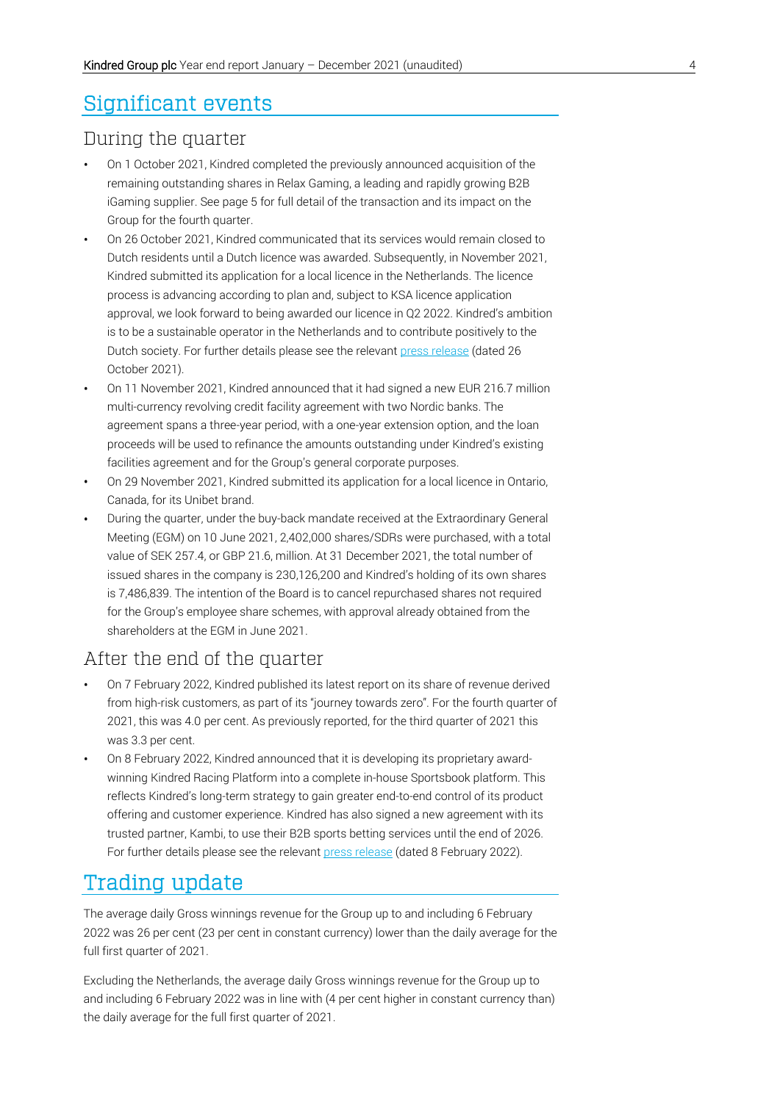# Significant events

## During the quarter

- On 1 October 2021, Kindred completed the previously announced acquisition of the remaining outstanding shares in Relax Gaming, a leading and rapidly growing B2B iGaming supplier. See page 5 for full detail of the transaction and its impact on the Group for the fourth quarter.
- On 26 October 2021, Kindred communicated that its services would remain closed to Dutch residents until a Dutch licence was awarded. Subsequently, in November 2021, Kindred submitted its application for a local licence in the Netherlands. The licence process is advancing according to plan and, subject to KSA licence application approval, we look forward to being awarded our licence in Q2 2022. Kindred's ambition is to be a sustainable operator in the Netherlands and to contribute positively to the Dutch society. For further details please see the relevan[t press release](https://www.kindredgroup.com/media/press-releases/2021/kindred-services-remain-closed-to-dutch-residents-until-licence-is-awarded/) (dated 26 October 2021).
- On 11 November 2021, Kindred announced that it had signed a new EUR 216.7 million multi-currency revolving credit facility agreement with two Nordic banks. The agreement spans a three-year period, with a one-year extension option, and the loan proceeds will be used to refinance the amounts outstanding under Kindred's existing facilities agreement and for the Group's general corporate purposes.
- On 29 November 2021, Kindred submitted its application for a local licence in Ontario, Canada, for its Unibet brand.
- During the quarter, under the buy-back mandate received at the Extraordinary General Meeting (EGM) on 10 June 2021, 2,402,000 shares/SDRs were purchased, with a total value of SEK 257.4, or GBP 21.6, million. At 31 December 2021, the total number of issued shares in the company is 230,126,200 and Kindred's holding of its own shares is 7,486,839. The intention of the Board is to cancel repurchased shares not required for the Group's employee share schemes, with approval already obtained from the shareholders at the EGM in June 2021.

## After the end of the quarter

- On 7 February 2022, Kindred published its latest report on its share of revenue derived from high-risk customers, as part of its "journey towards zero". For the fourth quarter of 2021, this was 4.0 per cent. As previously reported, for the third quarter of 2021 this was 3.3 per cent.
- On 8 February 2022, Kindred announced that it is developing its proprietary awardwinning Kindred Racing Platform into a complete in-house Sportsbook platform. This reflects Kindred's long-term strategy to gain greater end-to-end control of its product offering and customer experience. Kindred has also signed a new agreement with its trusted partner, Kambi, to use their B2B sports betting services until the end of 2026. For further details please see the relevant [press release](https://www.kindredgroup.com/media/press-releases/?year=2022) (dated 8 February 2022).

# Trading update

The average daily Gross winnings revenue for the Group up to and including 6 February 2022 was 26 per cent (23 per cent in constant currency) lower than the daily average for the full first quarter of 2021.

Excluding the Netherlands, the average daily Gross winnings revenue for the Group up to and including 6 February 2022 was in line with (4 per cent higher in constant currency than) the daily average for the full first quarter of 2021.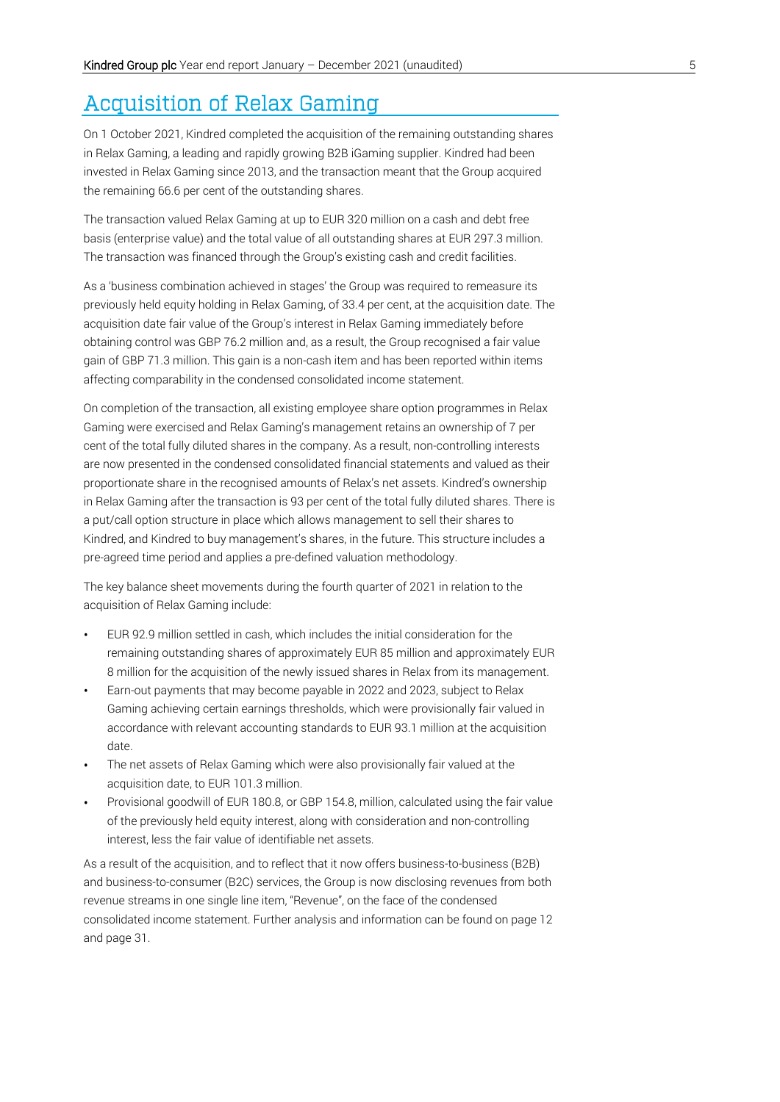# Acquisition of Relax Gaming

On 1 October 2021, Kindred completed the acquisition of the remaining outstanding shares in Relax Gaming, a leading and rapidly growing B2B iGaming supplier. Kindred had been invested in Relax Gaming since 2013, and the transaction meant that the Group acquired the remaining 66.6 per cent of the outstanding shares.

The transaction valued Relax Gaming at up to EUR 320 million on a cash and debt free basis (enterprise value) and the total value of all outstanding shares at EUR 297.3 million. The transaction was financed through the Group's existing cash and credit facilities.

As a 'business combination achieved in stages' the Group was required to remeasure its previously held equity holding in Relax Gaming, of 33.4 per cent, at the acquisition date. The acquisition date fair value of the Group's interest in Relax Gaming immediately before obtaining control was GBP 76.2 million and, as a result, the Group recognised a fair value gain of GBP 71.3 million. This gain is a non-cash item and has been reported within items affecting comparability in the condensed consolidated income statement.

On completion of the transaction, all existing employee share option programmes in Relax Gaming were exercised and Relax Gaming's management retains an ownership of 7 per cent of the total fully diluted shares in the company. As a result, non-controlling interests are now presented in the condensed consolidated financial statements and valued as their proportionate share in the recognised amounts of Relax's net assets. Kindred's ownership in Relax Gaming after the transaction is 93 per cent of the total fully diluted shares. There is a put/call option structure in place which allows management to sell their shares to Kindred, and Kindred to buy management's shares, in the future. This structure includes a pre-agreed time period and applies a pre-defined valuation methodology.

The key balance sheet movements during the fourth quarter of 2021 in relation to the acquisition of Relax Gaming include:

- EUR 92.9 million settled in cash, which includes the initial consideration for the remaining outstanding shares of approximately EUR 85 million and approximately EUR 8 million for the acquisition of the newly issued shares in Relax from its management.
- Earn-out payments that may become payable in 2022 and 2023, subject to Relax Gaming achieving certain earnings thresholds, which were provisionally fair valued in accordance with relevant accounting standards to EUR 93.1 million at the acquisition date.
- The net assets of Relax Gaming which were also provisionally fair valued at the acquisition date, to EUR 101.3 million.
- Provisional goodwill of EUR 180.8, or GBP 154.8, million, calculated using the fair value of the previously held equity interest, along with consideration and non-controlling interest, less the fair value of identifiable net assets.

As a result of the acquisition, and to reflect that it now offers business-to-business (B2B) and business-to-consumer (B2C) services, the Group is now disclosing revenues from both revenue streams in one single line item, "Revenue", on the face of the condensed consolidated income statement. Further analysis and information can be found on page 12 and page 31.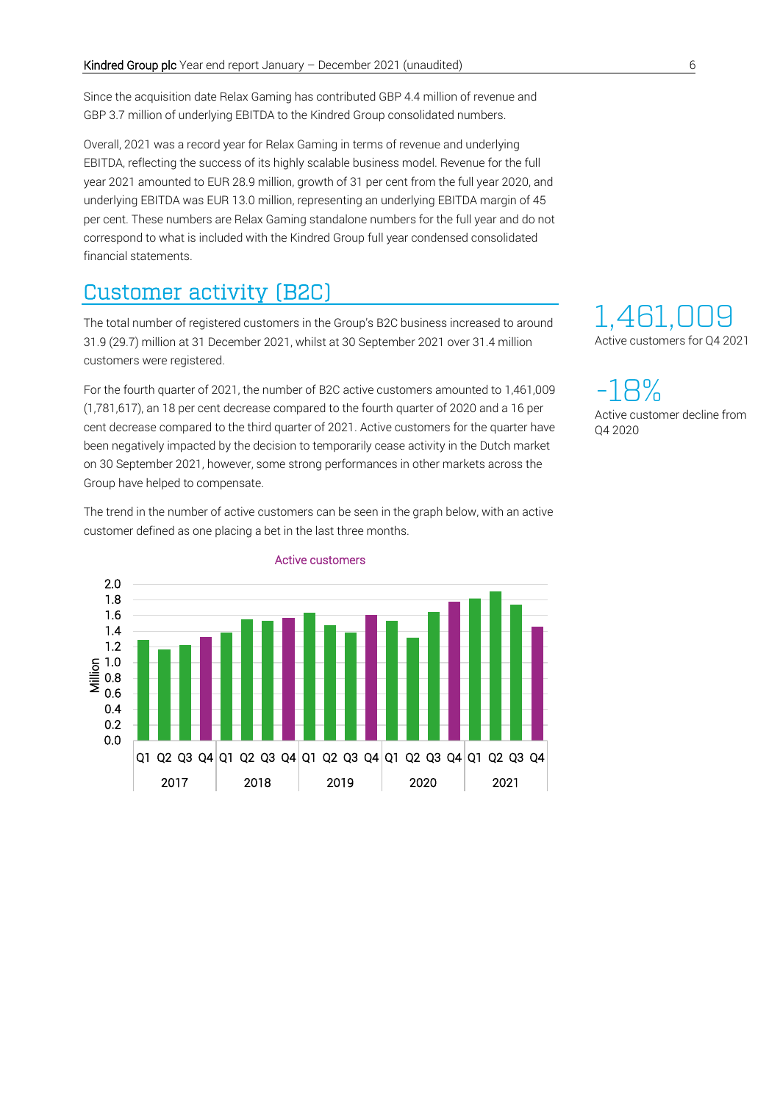Since the acquisition date Relax Gaming has contributed GBP 4.4 million of revenue and GBP 3.7 million of underlying EBITDA to the Kindred Group consolidated numbers.

Overall, 2021 was a record year for Relax Gaming in terms of revenue and underlying EBITDA, reflecting the success of its highly scalable business model. Revenue for the full year 2021 amounted to EUR 28.9 million, growth of 31 per cent from the full year 2020, and underlying EBITDA was EUR 13.0 million, representing an underlying EBITDA margin of 45 per cent. These numbers are Relax Gaming standalone numbers for the full year and do not correspond to what is included with the Kindred Group full year condensed consolidated financial statements.

# Customer activity (B2C)

The total number of registered customers in the Group's B2C business increased to around 31.9 (29.7) million at 31 December 2021, whilst at 30 September 2021 over 31.4 million customers were registered.

For the fourth quarter of 2021, the number of B2C active customers amounted to 1,461,009 (1,781,617), an 18 per cent decrease compared to the fourth quarter of 2020 and a 16 per cent decrease compared to the third quarter of 2021. Active customers for the quarter have been negatively impacted by the decision to temporarily cease activity in the Dutch market on 30 September 2021, however, some strong performances in other markets across the Group have helped to compensate.

The trend in the number of active customers can be seen in the graph below, with an active customer defined as one placing a bet in the last three months.



#### Active customers

# 1,461,0 Active customers for Q4 2021

-18% Active customer decline from Q4 2020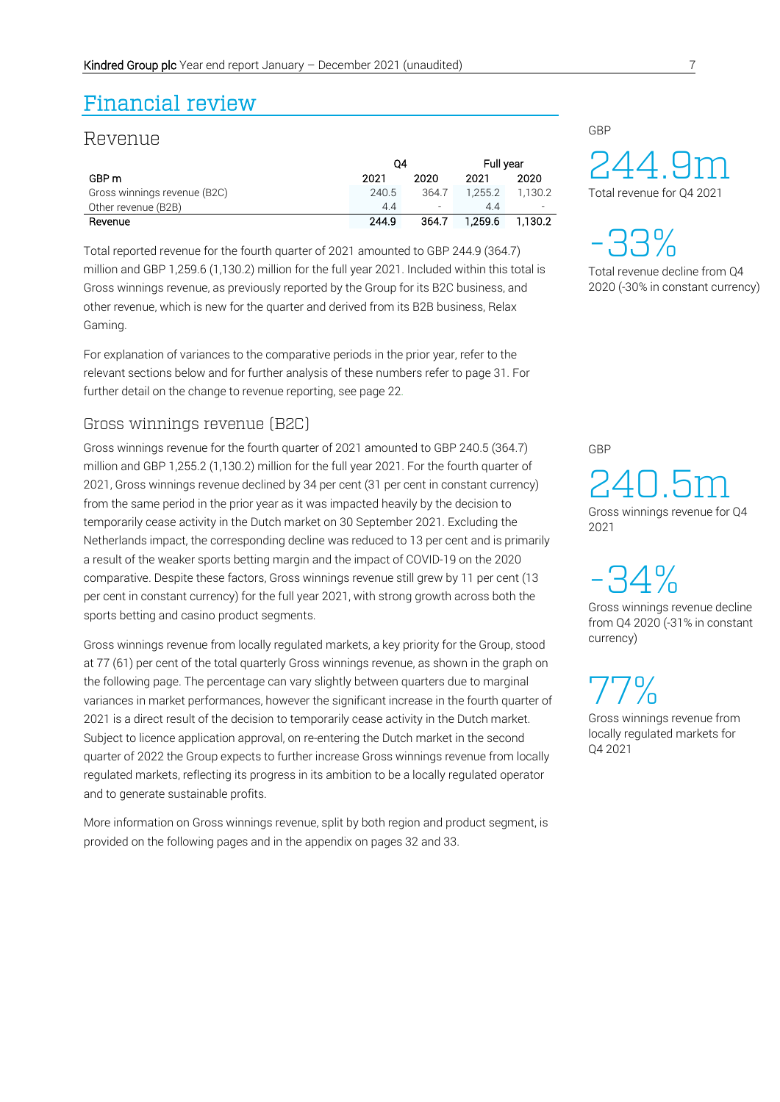# Financial review

## Revenue

|                              | 04    |          | Full year |         |
|------------------------------|-------|----------|-----------|---------|
| GBP m                        | 2021  | 2020     | 2021      | 2020    |
| Gross winnings revenue (B2C) | 240.5 | 364.7    | 1.255.2   | 1.130.2 |
| Other revenue (B2B)          | 44    | $\equiv$ | 44        |         |
| Revenue                      | 244.9 | 364.7    | 1.259.6   | 1.130.2 |

Total reported revenue for the fourth quarter of 2021 amounted to GBP 244.9 (364.7) million and GBP 1,259.6 (1,130.2) million for the full year 2021. Included within this total is Gross winnings revenue, as previously reported by the Group for its B2C business, and other revenue, which is new for the quarter and derived from its B2B business, Relax Gaming.

For explanation of variances to the comparative periods in the prior year, refer to the relevant sections below and for further analysis of these numbers refer to page 31. For further detail on the change to revenue reporting, see page 22.

#### Gross winnings revenue (B2C)

Gross winnings revenue for the fourth quarter of 2021 amounted to GBP 240.5 (364.7) million and GBP 1,255.2 (1,130.2) million for the full year 2021. For the fourth quarter of 2021, Gross winnings revenue declined by 34 per cent (31 per cent in constant currency) from the same period in the prior year as it was impacted heavily by the decision to temporarily cease activity in the Dutch market on 30 September 2021. Excluding the Netherlands impact, the corresponding decline was reduced to 13 per cent and is primarily a result of the weaker sports betting margin and the impact of COVID-19 on the 2020 comparative. Despite these factors, Gross winnings revenue still grew by 11 per cent (13 per cent in constant currency) for the full year 2021, with strong growth across both the sports betting and casino product segments.

Gross winnings revenue from locally regulated markets, a key priority for the Group, stood at 77 (61) per cent of the total quarterly Gross winnings revenue, as shown in the graph on the following page. The percentage can vary slightly between quarters due to marginal variances in market performances, however the significant increase in the fourth quarter of 2021 is a direct result of the decision to temporarily cease activity in the Dutch market. Subject to licence application approval, on re-entering the Dutch market in the second quarter of 2022 the Group expects to further increase Gross winnings revenue from locally regulated markets, reflecting its progress in its ambition to be a locally regulated operator and to generate sustainable profits.

More information on Gross winnings revenue, split by both region and product segment, is provided on the following pages and in the appendix on pages 32 and 33.

## GBP

24 4.9m Total revenue for Q4 2021

-33% Total revenue decline from Q4

2020 (-30% in constant currency)

GBP

240. 5 Gross winnings revenue for Q4 m 2021

-34%

Gross winnings revenue decline from Q4 2020 (-31% in constant currency)

77% Gross winnings revenue from locally regulated markets for Q4 2021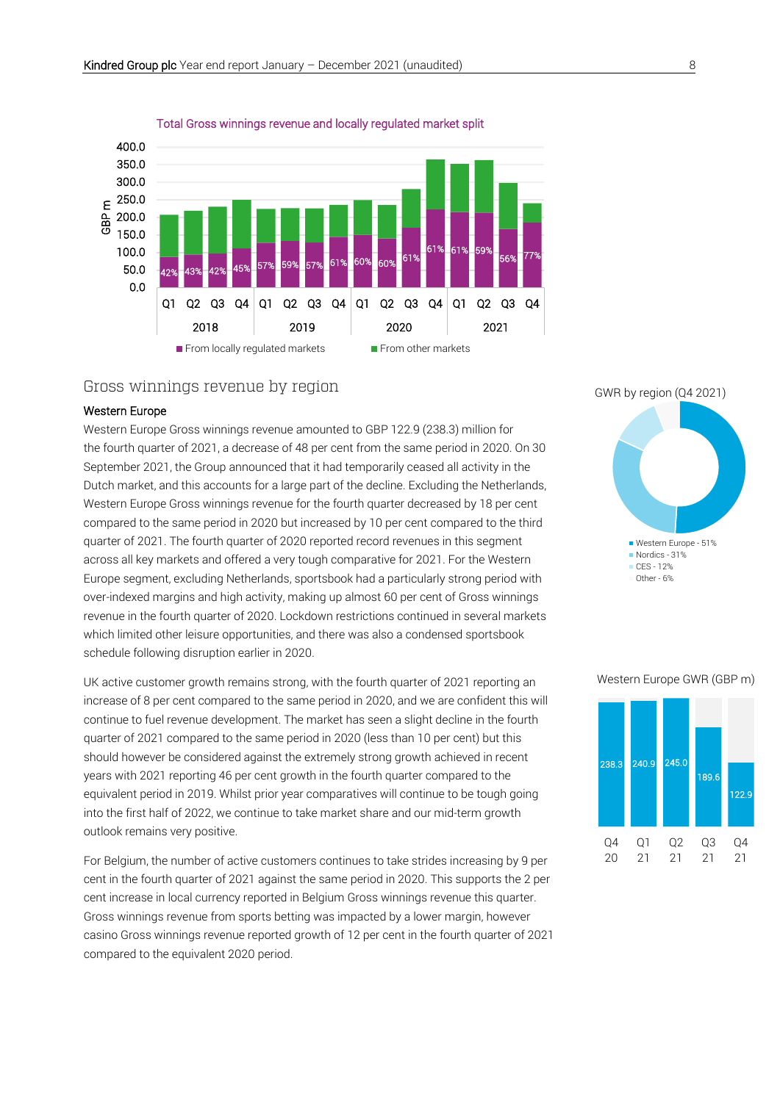

Total Gross winnings revenue and locally regulated market split

#### Gross winnings revenue by region

#### Western Europe

Western Europe Gross winnings revenue amounted to GBP 122.9 (238.3) million for the fourth quarter of 2021, a decrease of 48 per cent from the same period in 2020. On 30 September 2021, the Group announced that it had temporarily ceased all activity in the Dutch market, and this accounts for a large part of the decline. Excluding the Netherlands, Western Europe Gross winnings revenue for the fourth quarter decreased by 18 per cent compared to the same period in 2020 but increased by 10 per cent compared to the third quarter of 2021. The fourth quarter of 2020 reported record revenues in this segment across all key markets and offered a very tough comparative for 2021. For the Western Europe segment, excluding Netherlands, sportsbook had a particularly strong period with over-indexed margins and high activity, making up almost 60 per cent of Gross winnings revenue in the fourth quarter of 2020. Lockdown restrictions continued in several markets which limited other leisure opportunities, and there was also a condensed sportsbook schedule following disruption earlier in 2020.

UK active customer growth remains strong, with the fourth quarter of 2021 reporting an increase of 8 per cent compared to the same period in 2020, and we are confident this will continue to fuel revenue development. The market has seen a slight decline in the fourth quarter of 2021 compared to the same period in 2020 (less than 10 per cent) but this should however be considered against the extremely strong growth achieved in recent years with 2021 reporting 46 per cent growth in the fourth quarter compared to the equivalent period in 2019. Whilst prior year comparatives will continue to be tough going into the first half of 2022, we continue to take market share and our mid-term growth outlook remains very positive.

For Belgium, the number of active customers continues to take strides increasing by 9 per cent in the fourth quarter of 2021 against the same period in 2020. This supports the 2 per cent increase in local currency reported in Belgium Gross winnings revenue this quarter. Gross winnings revenue from sports betting was impacted by a lower margin, however casino Gross winnings revenue reported growth of 12 per cent in the fourth quarter of 2021 compared to the equivalent 2020 period.

GWR by region (Q4 2021)



#### Western Europe GWR (GBP m)

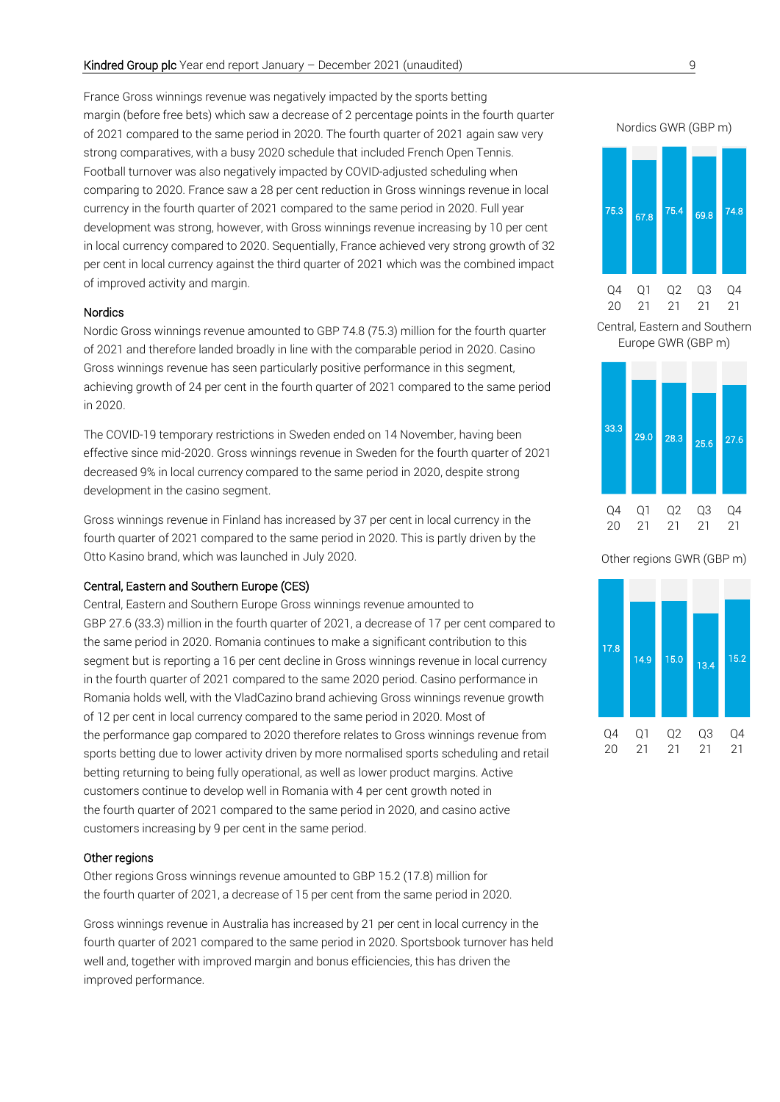France Gross winnings revenue was negatively impacted by the sports betting margin (before free bets) which saw a decrease of 2 percentage points in the fourth quarter of 2021 compared to the same period in 2020. The fourth quarter of 2021 again saw very strong comparatives, with a busy 2020 schedule that included French Open Tennis. Football turnover was also negatively impacted by COVID-adjusted scheduling when comparing to 2020. France saw a 28 per cent reduction in Gross winnings revenue in local currency in the fourth quarter of 2021 compared to the same period in 2020. Full year development was strong, however, with Gross winnings revenue increasing by 10 per cent in local currency compared to 2020. Sequentially, France achieved very strong growth of 32 per cent in local currency against the third quarter of 2021 which was the combined impact of improved activity and margin.

#### Nordics

Nordic Gross winnings revenue amounted to GBP 74.8 (75.3) million for the fourth quarter of 2021 and therefore landed broadly in line with the comparable period in 2020. Casino Gross winnings revenue has seen particularly positive performance in this segment, achieving growth of 24 per cent in the fourth quarter of 2021 compared to the same period in 2020.

The COVID-19 temporary restrictions in Sweden ended on 14 November, having been effective since mid-2020. Gross winnings revenue in Sweden for the fourth quarter of 2021 decreased 9% in local currency compared to the same period in 2020, despite strong development in the casino segment.

Gross winnings revenue in Finland has increased by 37 per cent in local currency in the fourth quarter of 2021 compared to the same period in 2020. This is partly driven by the Otto Kasino brand, which was launched in July 2020.

#### Central, Eastern and Southern Europe (CES)

Central, Eastern and Southern Europe Gross winnings revenue amounted to GBP 27.6 (33.3) million in the fourth quarter of 2021, a decrease of 17 per cent compared to the same period in 2020. Romania continues to make a significant contribution to this segment but is reporting a 16 per cent decline in Gross winnings revenue in local currency in the fourth quarter of 2021 compared to the same 2020 period. Casino performance in Romania holds well, with the VladCazino brand achieving Gross winnings revenue growth of 12 per cent in local currency compared to the same period in 2020. Most of the performance gap compared to 2020 therefore relates to Gross winnings revenue from sports betting due to lower activity driven by more normalised sports scheduling and retail betting returning to being fully operational, as well as lower product margins. Active customers continue to develop well in Romania with 4 per cent growth noted in the fourth quarter of 2021 compared to the same period in 2020, and casino active customers increasing by 9 per cent in the same period.

#### Other regions

Other regions Gross winnings revenue amounted to GBP 15.2 (17.8) million for the fourth quarter of 2021, a decrease of 15 per cent from the same period in 2020.

Gross winnings revenue in Australia has increased by 21 per cent in local currency in the fourth quarter of 2021 compared to the same period in 2020. Sportsbook turnover has held well and, together with improved margin and bonus efficiencies, this has driven the improved performance.





Central, Eastern and Southern Europe GWR (GBP m)



Other regions GWR (GBP m)

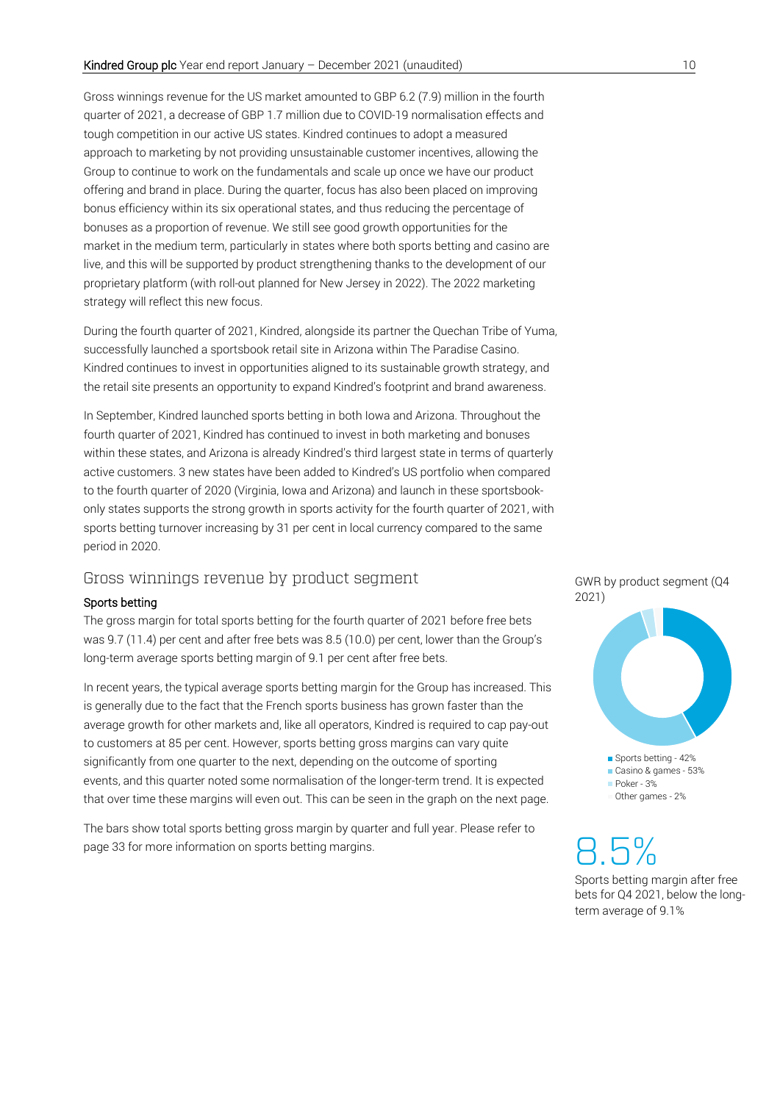Gross winnings revenue for the US market amounted to GBP 6.2 (7.9) million in the fourth quarter of 2021, a decrease of GBP 1.7 million due to COVID-19 normalisation effects and tough competition in our active US states. Kindred continues to adopt a measured approach to marketing by not providing unsustainable customer incentives, allowing the Group to continue to work on the fundamentals and scale up once we have our product offering and brand in place. During the quarter, focus has also been placed on improving bonus efficiency within its six operational states, and thus reducing the percentage of bonuses as a proportion of revenue. We still see good growth opportunities for the market in the medium term, particularly in states where both sports betting and casino are live, and this will be supported by product strengthening thanks to the development of our proprietary platform (with roll-out planned for New Jersey in 2022). The 2022 marketing strategy will reflect this new focus.

During the fourth quarter of 2021, Kindred, alongside its partner the Quechan Tribe of Yuma, successfully launched a sportsbook retail site in Arizona within The Paradise Casino. Kindred continues to invest in opportunities aligned to its sustainable growth strategy, and the retail site presents an opportunity to expand Kindred's footprint and brand awareness.

In September, Kindred launched sports betting in both Iowa and Arizona. Throughout the fourth quarter of 2021, Kindred has continued to invest in both marketing and bonuses within these states, and Arizona is already Kindred's third largest state in terms of quarterly active customers. 3 new states have been added to Kindred's US portfolio when compared to the fourth quarter of 2020 (Virginia, Iowa and Arizona) and launch in these sportsbookonly states supports the strong growth in sports activity for the fourth quarter of 2021, with sports betting turnover increasing by 31 per cent in local currency compared to the same period in 2020.

#### Gross winnings revenue by product segment

#### Sports betting

The gross margin for total sports betting for the fourth quarter of 2021 before free bets was 9.7 (11.4) per cent and after free bets was 8.5 (10.0) per cent, lower than the Group's long-term average sports betting margin of 9.1 per cent after free bets.

In recent years, the typical average sports betting margin for the Group has increased. This is generally due to the fact that the French sports business has grown faster than the average growth for other markets and, like all operators, Kindred is required to cap pay-out to customers at 85 per cent. However, sports betting gross margins can vary quite significantly from one quarter to the next, depending on the outcome of sporting events, and this quarter noted some normalisation of the longer-term trend. It is expected that over time these margins will even out. This can be seen in the graph on the next page.

The bars show total sports betting gross margin by quarter and full year. Please refer to page 33 for more information on sports betting margins.

#### GWR by product segment (Q4 2021)



8.5% Sports betting margin after free bets for Q4 2021, below the longterm average of 9.1%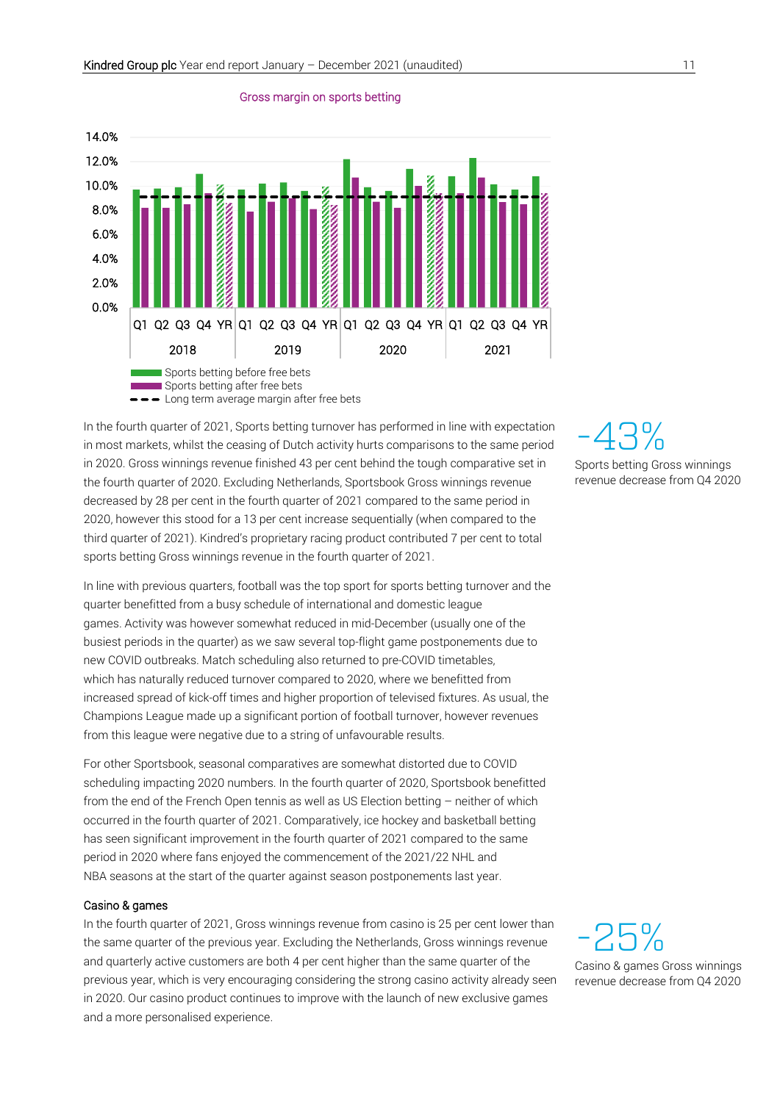

#### Gross margin on sports betting

In the fourth quarter of 2021, Sports betting turnover has performed in line with expectation in most markets, whilst the ceasing of Dutch activity hurts comparisons to the same period in 2020. Gross winnings revenue finished 43 per cent behind the tough comparative set in the fourth quarter of 2020. Excluding Netherlands, Sportsbook Gross winnings revenue decreased by 28 per cent in the fourth quarter of 2021 compared to the same period in 2020, however this stood for a 13 per cent increase sequentially (when compared to the third quarter of 2021). Kindred's proprietary racing product contributed 7 per cent to total sports betting Gross winnings revenue in the fourth quarter of 2021.

In line with previous quarters, football was the top sport for sports betting turnover and the quarter benefitted from a busy schedule of international and domestic league games. Activity was however somewhat reduced in mid-December (usually one of the busiest periods in the quarter) as we saw several top-flight game postponements due to new COVID outbreaks. Match scheduling also returned to pre-COVID timetables, which has naturally reduced turnover compared to 2020, where we benefitted from increased spread of kick-off times and higher proportion of televised fixtures. As usual, the Champions League made up a significant portion of football turnover, however revenues from this league were negative due to a string of unfavourable results.

For other Sportsbook, seasonal comparatives are somewhat distorted due to COVID scheduling impacting 2020 numbers. In the fourth quarter of 2020, Sportsbook benefitted from the end of the French Open tennis as well as US Election betting – neither of which occurred in the fourth quarter of 2021. Comparatively, ice hockey and basketball betting has seen significant improvement in the fourth quarter of 2021 compared to the same period in 2020 where fans enjoyed the commencement of the 2021/22 NHL and NBA seasons at the start of the quarter against season postponements last year.

#### Casino & games

In the fourth quarter of 2021, Gross winnings revenue from casino is 25 per cent lower than the same quarter of the previous year. Excluding the Netherlands, Gross winnings revenue and quarterly active customers are both 4 per cent higher than the same quarter of the previous year, which is very encouraging considering the strong casino activity already seen in 2020. Our casino product continues to improve with the launch of new exclusive games and a more personalised experience.

-43% Sports betting Gross winnings revenue decrease from Q4 2020

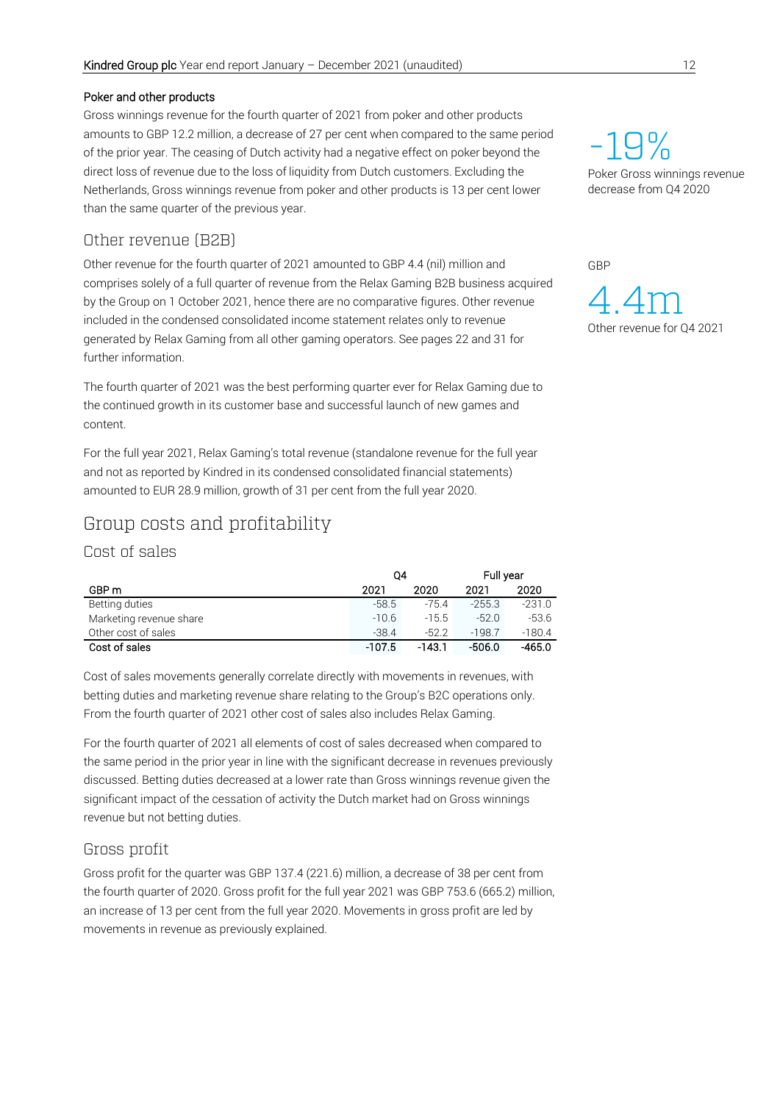#### Poker and other products

Gross winnings revenue for the fourth quarter of 2021 from poker and other products amounts to GBP 12.2 million, a decrease of 27 per cent when compared to the same period of the prior year. The ceasing of Dutch activity had a negative effect on poker beyond the direct loss of revenue due to the loss of liquidity from Dutch customers. Excluding the Netherlands, Gross winnings revenue from poker and other products is 13 per cent lower than the same quarter of the previous year.

## Other revenue (B2B)

Other revenue for the fourth quarter of 2021 amounted to GBP 4.4 (nil) million and comprises solely of a full quarter of revenue from the Relax Gaming B2B business acquired by the Group on 1 October 2021, hence there are no comparative figures. Other revenue included in the condensed consolidated income statement relates only to revenue generated by Relax Gaming from all other gaming operators. See pages 22 and 31 for further information.

The fourth quarter of 2021 was the best performing quarter ever for Relax Gaming due to the continued growth in its customer base and successful launch of new games and content.

For the full year 2021, Relax Gaming's total revenue (standalone revenue for the full year and not as reported by Kindred in its condensed consolidated financial statements) amounted to EUR 28.9 million, growth of 31 per cent from the full year 2020.

# Group costs and profitability

Cost of sales

|                         | 04       |         | Full year |          |
|-------------------------|----------|---------|-----------|----------|
| GBP m                   | 2021     | 2020    | 2021      | 2020     |
| Betting duties          | $-58.5$  | $-75.4$ | $-255.3$  | $-231.0$ |
| Marketing revenue share | $-10.6$  | $-15.5$ | $-52.0$   | $-53.6$  |
| Other cost of sales     | $-38.4$  | $-52.2$ | $-198.7$  | $-180.4$ |
| Cost of sales           | $-107.5$ | -143.1  | -506.0    | $-465.0$ |

Cost of sales movements generally correlate directly with movements in revenues, with betting duties and marketing revenue share relating to the Group's B2C operations only. From the fourth quarter of 2021 other cost of sales also includes Relax Gaming.

For the fourth quarter of 2021 all elements of cost of sales decreased when compared to the same period in the prior year in line with the significant decrease in revenues previously discussed. Betting duties decreased at a lower rate than Gross winnings revenue given the significant impact of the cessation of activity the Dutch market had on Gross winnings revenue but not betting duties.

## Gross profit

Gross profit for the quarter was GBP 137.4 (221.6) million, a decrease of 38 per cent from the fourth quarter of 2020. Gross profit for the full year 2021 was GBP 753.6 (665.2) million, an increase of 13 per cent from the full year 2020. Movements in gross profit are led by movements in revenue as previously explained.

-19% Poker Gross winnings revenue decrease from Q4 2020

GBP

 $\Delta$ Other revenue for Q4 2021 m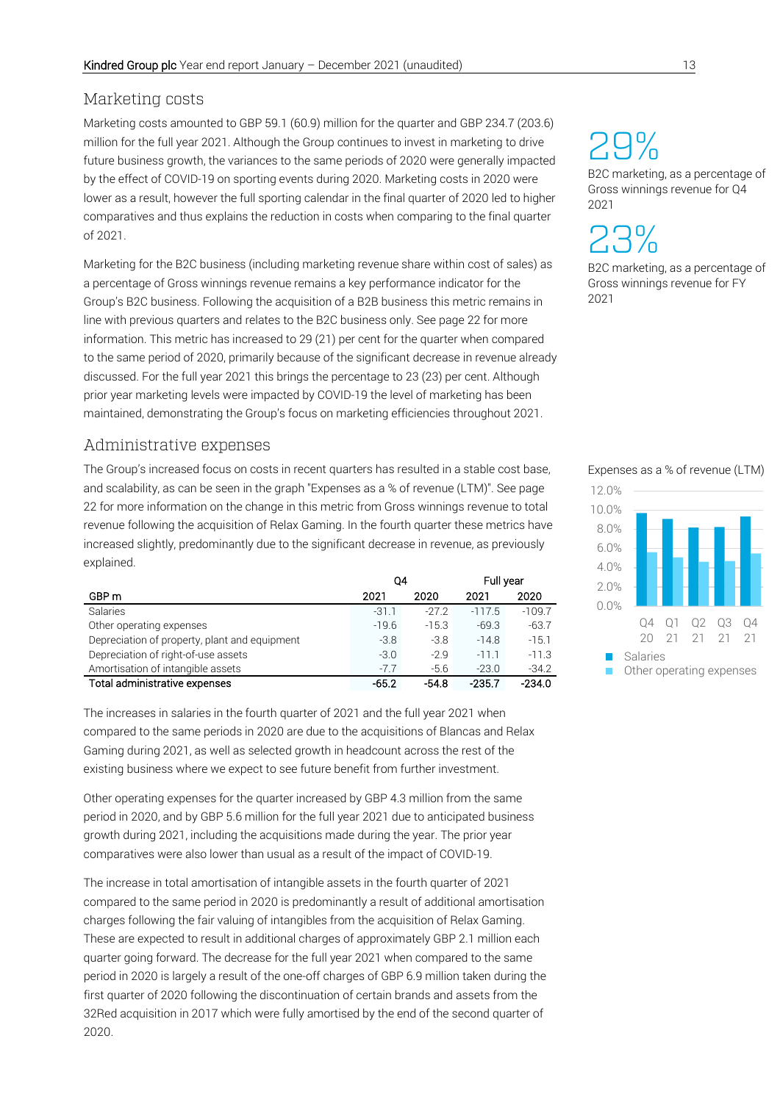## Marketing costs

Marketing costs amounted to GBP 59.1 (60.9) million for the quarter and GBP 234.7 (203.6) million for the full year 2021. Although the Group continues to invest in marketing to drive future business growth, the variances to the same periods of 2020 were generally impacted by the effect of COVID-19 on sporting events during 2020. Marketing costs in 2020 were lower as a result, however the full sporting calendar in the final quarter of 2020 led to higher comparatives and thus explains the reduction in costs when comparing to the final quarter of 2021.

Marketing for the B2C business (including marketing revenue share within cost of sales) as a percentage of Gross winnings revenue remains a key performance indicator for the Group's B2C business. Following the acquisition of a B2B business this metric remains in line with previous quarters and relates to the B2C business only. See page 22 for more information. This metric has increased to 29 (21) per cent for the quarter when compared to the same period of 2020, primarily because of the significant decrease in revenue already discussed. For the full year 2021 this brings the percentage to 23 (23) per cent. Although prior year marketing levels were impacted by COVID-19 the level of marketing has been maintained, demonstrating the Group's focus on marketing efficiencies throughout 2021.

## Administrative expenses

The Group's increased focus on costs in recent quarters has resulted in a stable cost base, and scalability, as can be seen in the graph "Expenses as a % of revenue (LTM)". See page 22 for more information on the change in this metric from Gross winnings revenue to total revenue following the acquisition of Relax Gaming. In the fourth quarter these metrics have increased slightly, predominantly due to the significant decrease in revenue, as previously explained.

|                                               | Q4      |         | Full year |          |
|-----------------------------------------------|---------|---------|-----------|----------|
| GBP m                                         | 2021    | 2020    | 2021      | 2020     |
| Salaries                                      | $-31.1$ | $-27.2$ | $-117.5$  | $-109.7$ |
| Other operating expenses                      | $-19.6$ | $-15.3$ | $-69.3$   | $-63.7$  |
| Depreciation of property, plant and equipment | $-3.8$  | $-3.8$  | $-14.8$   | $-15.1$  |
| Depreciation of right-of-use assets           | $-3.0$  | $-2.9$  | $-111$    | $-11.3$  |
| Amortisation of intangible assets             | $-7.7$  | $-5.6$  | $-23.0$   | $-34.2$  |
| Total administrative expenses                 | $-65.2$ | $-54.8$ | $-235.7$  | $-234.0$ |

The increases in salaries in the fourth quarter of 2021 and the full year 2021 when compared to the same periods in 2020 are due to the acquisitions of Blancas and Relax Gaming during 2021, as well as selected growth in headcount across the rest of the existing business where we expect to see future benefit from further investment.

Other operating expenses for the quarter increased by GBP 4.3 million from the same period in 2020, and by GBP 5.6 million for the full year 2021 due to anticipated business growth during 2021, including the acquisitions made during the year. The prior year comparatives were also lower than usual as a result of the impact of COVID-19.

The increase in total amortisation of intangible assets in the fourth quarter of 2021 compared to the same period in 2020 is predominantly a result of additional amortisation charges following the fair valuing of intangibles from the acquisition of Relax Gaming. These are expected to result in additional charges of approximately GBP 2.1 million each quarter going forward. The decrease for the full year 2021 when compared to the same period in 2020 is largely a result of the one-off charges of GBP 6.9 million taken during the first quarter of 2020 following the discontinuation of certain brands and assets from the 32Red acquisition in 2017 which were fully amortised by the end of the second quarter of 2020.

# 29%

B2C marketing, as a percentage of Gross winnings revenue for Q4 2021

23%

B2C marketing, as a percentage of Gross winnings revenue for FY 2021

#### Expenses as a % of revenue (LTM)

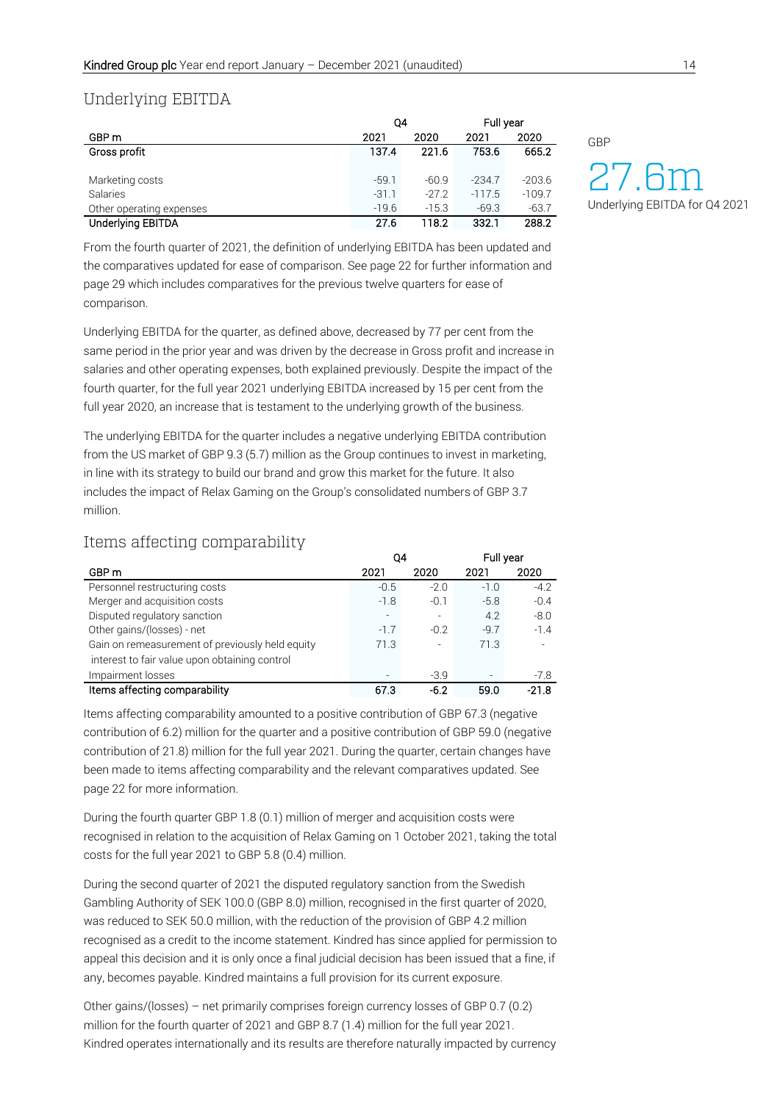#### Underlying EBITDA

|                          | Q4      |         | Full year |          |
|--------------------------|---------|---------|-----------|----------|
| GBP <sub>m</sub>         | 2021    | 2020    | 2021      | 2020     |
| Gross profit             | 137.4   | 221.6   | 753.6     | 665.2    |
|                          |         |         |           |          |
| Marketing costs          | $-59.1$ | $-60.9$ | $-234.7$  | $-203.6$ |
| Salaries                 | $-31.1$ | $-27.2$ | $-117.5$  | $-109.7$ |
| Other operating expenses | $-19.6$ | $-15.3$ | $-69.3$   | $-63.7$  |
| Underlying EBITDA        | 27.6    | 118.2   | 332.1     | 288.2    |

From the fourth quarter of 2021, the definition of underlying EBITDA has been updated and the comparatives updated for ease of comparison. See page 22 for further information and page 29 which includes comparatives for the previous twelve quarters for ease of comparison.

Underlying EBITDA for the quarter, as defined above, decreased by 77 per cent from the same period in the prior year and was driven by the decrease in Gross profit and increase in salaries and other operating expenses, both explained previously. Despite the impact of the fourth quarter, for the full year 2021 underlying EBITDA increased by 15 per cent from the full year 2020, an increase that is testament to the underlying growth of the business.

The underlying EBITDA for the quarter includes a negative underlying EBITDA contribution from the US market of GBP 9.3 (5.7) million as the Group continues to invest in marketing, in line with its strategy to build our brand and grow this market for the future. It also includes the impact of Relax Gaming on the Group's consolidated numbers of GBP 3.7 million.

## Items affecting comparability

|                                                 | Q4     |                          | Full year |         |
|-------------------------------------------------|--------|--------------------------|-----------|---------|
| GBP m                                           | 2021   | 2020                     | 2021      | 2020    |
| Personnel restructuring costs                   | $-0.5$ | $-2.0$                   | $-1.0$    | $-4.2$  |
| Merger and acquisition costs                    | $-1.8$ | $-0.1$                   | $-5.8$    | $-0.4$  |
| Disputed regulatory sanction                    |        | $\overline{\phantom{a}}$ | 4.2       | $-8.0$  |
| Other gains/(losses) - net                      | $-1.7$ | $-0.2$                   | $-9.7$    | $-1.4$  |
| Gain on remeasurement of previously held equity | 71.3   | $\overline{\phantom{a}}$ | 71.3      |         |
| interest to fair value upon obtaining control   |        |                          |           |         |
| Impairment losses                               |        | $-3.9$                   |           | $-7.8$  |
| Items affecting comparability                   | 67.3   | $-6.2$                   | 59.0      | $-21.8$ |

Items affecting comparability amounted to a positive contribution of GBP 67.3 (negative contribution of 6.2) million for the quarter and a positive contribution of GBP 59.0 (negative contribution of 21.8) million for the full year 2021. During the quarter, certain changes have been made to items affecting comparability and the relevant comparatives updated. See page 22 for more information.

During the fourth quarter GBP 1.8 (0.1) million of merger and acquisition costs were recognised in relation to the acquisition of Relax Gaming on 1 October 2021, taking the total costs for the full year 2021 to GBP 5.8 (0.4) million.

During the second quarter of 2021 the disputed regulatory sanction from the Swedish Gambling Authority of SEK 100.0 (GBP 8.0) million, recognised in the first quarter of 2020, was reduced to SEK 50.0 million, with the reduction of the provision of GBP 4.2 million recognised as a credit to the income statement. Kindred has since applied for permission to appeal this decision and it is only once a final judicial decision has been issued that a fine, if any, becomes payable. Kindred maintains a full provision for its current exposure.

Other gains/(losses) – net primarily comprises foreign currency losses of GBP 0.7 (0.2) million for the fourth quarter of 2021 and GBP 8.7 (1.4) million for the full year 2021. Kindred operates internationally and its results are therefore naturally impacted by currency GBP

27.6 mUnderlying EBITDA for Q4 2021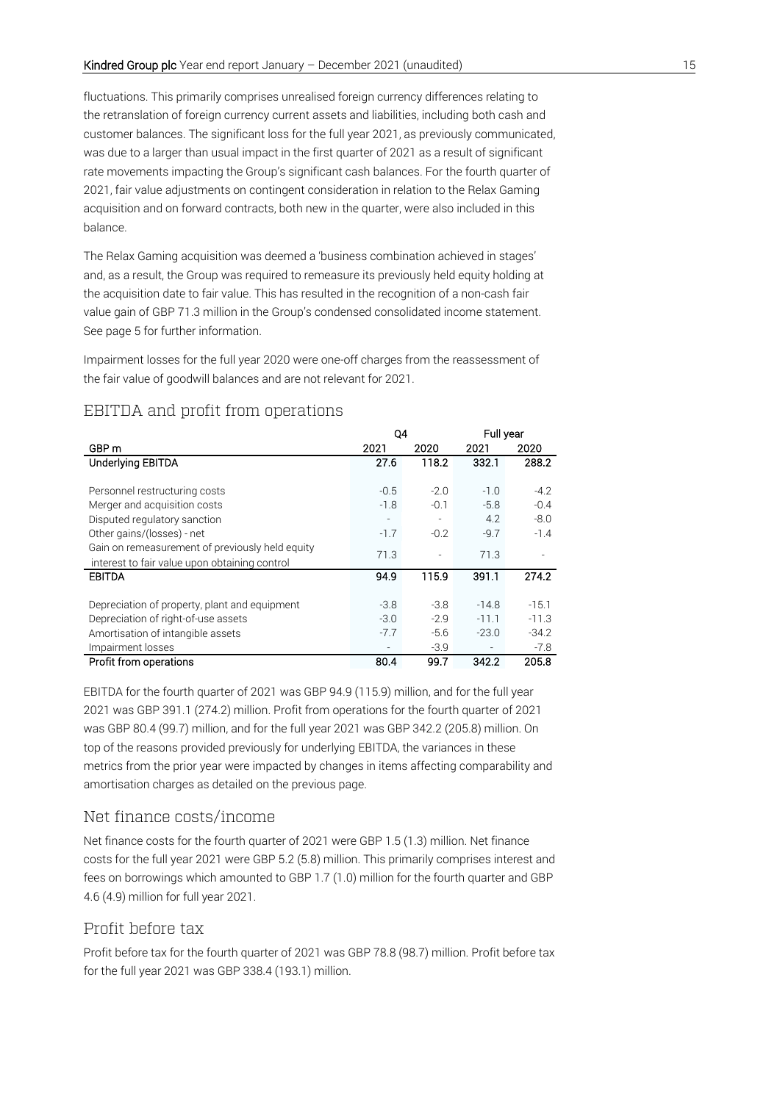fluctuations. This primarily comprises unrealised foreign currency differences relating to the retranslation of foreign currency current assets and liabilities, including both cash and customer balances. The significant loss for the full year 2021, as previously communicated, was due to a larger than usual impact in the first quarter of 2021 as a result of significant rate movements impacting the Group's significant cash balances. For the fourth quarter of 2021, fair value adjustments on contingent consideration in relation to the Relax Gaming acquisition and on forward contracts, both new in the quarter, were also included in this balance.

The Relax Gaming acquisition was deemed a 'business combination achieved in stages' and, as a result, the Group was required to remeasure its previously held equity holding at the acquisition date to fair value. This has resulted in the recognition of a non-cash fair value gain of GBP 71.3 million in the Group's condensed consolidated income statement. See page 5 for further information.

Impairment losses for the full year 2020 were one-off charges from the reassessment of the fair value of goodwill balances and are not relevant for 2021.

## EBITDA and profit from operations

|                                                 | Q4                       |                          | Full year |         |
|-------------------------------------------------|--------------------------|--------------------------|-----------|---------|
| GBP m                                           | 2021                     | 2020                     | 2021      | 2020    |
| Underlying EBITDA                               | 27.6                     | 118.2                    | 332.1     | 288.2   |
|                                                 |                          |                          |           |         |
| Personnel restructuring costs                   | $-0.5$                   | $-2.0$                   | $-1.0$    | $-4.2$  |
| Merger and acquisition costs                    | $-1.8$                   | $-0.1$                   | $-5.8$    | $-0.4$  |
| Disputed regulatory sanction                    | $\overline{\phantom{a}}$ | $\overline{\phantom{a}}$ | 4.2       | $-8.0$  |
| Other gains/(losses) - net                      | $-1.7$                   | $-0.2$                   | $-9.7$    | $-1.4$  |
| Gain on remeasurement of previously held equity |                          |                          |           |         |
| interest to fair value upon obtaining control   | 71.3                     |                          | 71.3      |         |
| EBITDA                                          | 94.9                     | 115.9                    | 391.1     | 274.2   |
|                                                 |                          |                          |           |         |
| Depreciation of property, plant and equipment   | $-3.8$                   | $-3.8$                   | $-14.8$   | $-15.1$ |
| Depreciation of right-of-use assets             | $-3.0$                   | $-2.9$                   | $-11.1$   | $-11.3$ |
| Amortisation of intangible assets               | $-7.7$                   | $-5.6$                   | $-23.0$   | $-34.2$ |
| Impairment losses                               |                          | $-3.9$                   |           | $-7.8$  |
| Profit from operations                          | 80.4                     | 99.7                     | 342.2     | 205.8   |

EBITDA for the fourth quarter of 2021 was GBP 94.9 (115.9) million, and for the full year 2021 was GBP 391.1 (274.2) million. Profit from operations for the fourth quarter of 2021 was GBP 80.4 (99.7) million, and for the full year 2021 was GBP 342.2 (205.8) million. On top of the reasons provided previously for underlying EBITDA, the variances in these metrics from the prior year were impacted by changes in items affecting comparability and amortisation charges as detailed on the previous page.

## Net finance costs/income

Net finance costs for the fourth quarter of 2021 were GBP 1.5 (1.3) million. Net finance costs for the full year 2021 were GBP 5.2 (5.8) million. This primarily comprises interest and fees on borrowings which amounted to GBP 1.7 (1.0) million for the fourth quarter and GBP 4.6 (4.9) million for full year 2021.

#### Profit before tax

Profit before tax for the fourth quarter of 2021 was GBP 78.8 (98.7) million. Profit before tax for the full year 2021 was GBP 338.4 (193.1) million.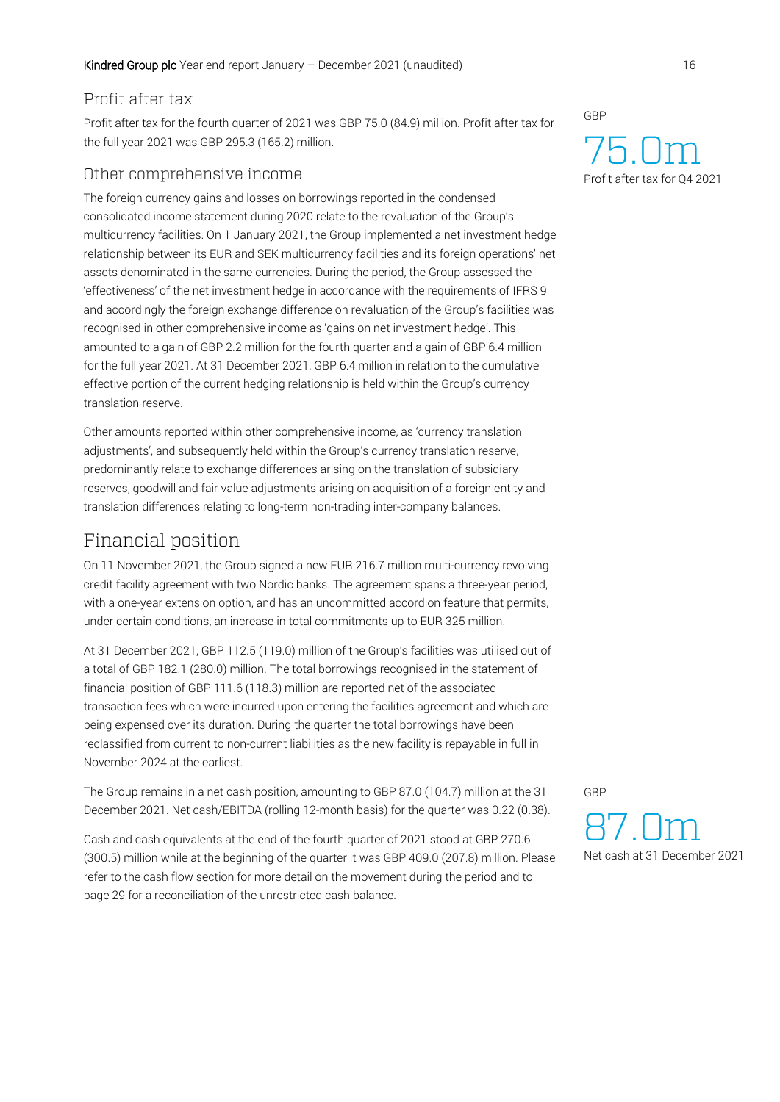#### Profit after tax

Profit after tax for the fourth quarter of 2021 was GBP 75.0 (84.9) million. Profit after tax for the full year 2021 was GBP 295.3 (165.2) million.

## Other comprehensive income

The foreign currency gains and losses on borrowings reported in the condensed consolidated income statement during 2020 relate to the revaluation of the Group's multicurrency facilities. On 1 January 2021, the Group implemented a net investment hedge relationship between its EUR and SEK multicurrency facilities and its foreign operations' net assets denominated in the same currencies. During the period, the Group assessed the 'effectiveness' of the net investment hedge in accordance with the requirements of IFRS 9 and accordingly the foreign exchange difference on revaluation of the Group's facilities was recognised in other comprehensive income as 'gains on net investment hedge'. This amounted to a gain of GBP 2.2 million for the fourth quarter and a gain of GBP 6.4 million for the full year 2021. At 31 December 2021, GBP 6.4 million in relation to the cumulative effective portion of the current hedging relationship is held within the Group's currency translation reserve.

Other amounts reported within other comprehensive income, as 'currency translation adjustments', and subsequently held within the Group's currency translation reserve, predominantly relate to exchange differences arising on the translation of subsidiary reserves, goodwill and fair value adjustments arising on acquisition of a foreign entity and translation differences relating to long-term non-trading inter-company balances.

# Financial position

On 11 November 2021, the Group signed a new EUR 216.7 million multi-currency revolving credit facility agreement with two Nordic banks. The agreement spans a three-year period, with a one-year extension option, and has an uncommitted accordion feature that permits, under certain conditions, an increase in total commitments up to EUR 325 million.

At 31 December 2021, GBP 112.5 (119.0) million of the Group's facilities was utilised out of a total of GBP 182.1 (280.0) million. The total borrowings recognised in the statement of financial position of GBP 111.6 (118.3) million are reported net of the associated transaction fees which were incurred upon entering the facilities agreement and which are being expensed over its duration. During the quarter the total borrowings have been reclassified from current to non-current liabilities as the new facility is repayable in full in November 2024 at the earliest.

The Group remains in a net cash position, amounting to GBP 87.0 (104.7) million at the 31 December 2021. Net cash/EBITDA (rolling 12-month basis) for the quarter was 0.22 (0.38).

Cash and cash equivalents at the end of the fourth quarter of 2021 stood at GBP 270.6 (300.5) million while at the beginning of the quarter it was GBP 409.0 (207.8) million. Please refer to the cash flow section for more detail on the movement during the period and to page 29 for a reconciliation of the unrestricted cash balance.

GBP

## 7 Profit after tax for Q4 2021 5.0m

GBP

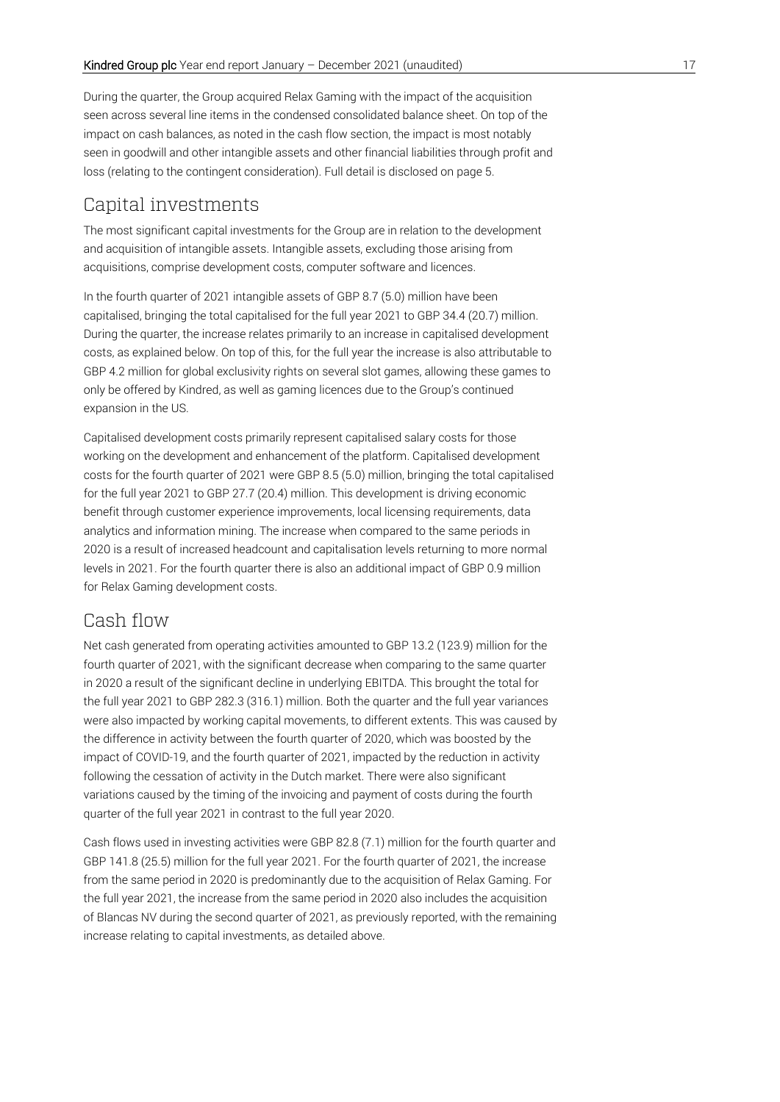During the quarter, the Group acquired Relax Gaming with the impact of the acquisition seen across several line items in the condensed consolidated balance sheet. On top of the impact on cash balances, as noted in the cash flow section, the impact is most notably seen in goodwill and other intangible assets and other financial liabilities through profit and loss (relating to the contingent consideration). Full detail is disclosed on page 5.

## Capital investments

The most significant capital investments for the Group are in relation to the development and acquisition of intangible assets. Intangible assets, excluding those arising from acquisitions, comprise development costs, computer software and licences.

In the fourth quarter of 2021 intangible assets of GBP 8.7 (5.0) million have been capitalised, bringing the total capitalised for the full year 2021 to GBP 34.4 (20.7) million. During the quarter, the increase relates primarily to an increase in capitalised development costs, as explained below. On top of this, for the full year the increase is also attributable to GBP 4.2 million for global exclusivity rights on several slot games, allowing these games to only be offered by Kindred, as well as gaming licences due to the Group's continued expansion in the US.

Capitalised development costs primarily represent capitalised salary costs for those working on the development and enhancement of the platform. Capitalised development costs for the fourth quarter of 2021 were GBP 8.5 (5.0) million, bringing the total capitalised for the full year 2021 to GBP 27.7 (20.4) million. This development is driving economic benefit through customer experience improvements, local licensing requirements, data analytics and information mining. The increase when compared to the same periods in 2020 is a result of increased headcount and capitalisation levels returning to more normal levels in 2021. For the fourth quarter there is also an additional impact of GBP 0.9 million for Relax Gaming development costs.

## Cash flow

Net cash generated from operating activities amounted to GBP 13.2 (123.9) million for the fourth quarter of 2021, with the significant decrease when comparing to the same quarter in 2020 a result of the significant decline in underlying EBITDA. This brought the total for the full year 2021 to GBP 282.3 (316.1) million. Both the quarter and the full year variances were also impacted by working capital movements, to different extents. This was caused by the difference in activity between the fourth quarter of 2020, which was boosted by the impact of COVID-19, and the fourth quarter of 2021, impacted by the reduction in activity following the cessation of activity in the Dutch market. There were also significant variations caused by the timing of the invoicing and payment of costs during the fourth quarter of the full year 2021 in contrast to the full year 2020.

Cash flows used in investing activities were GBP 82.8 (7.1) million for the fourth quarter and GBP 141.8 (25.5) million for the full year 2021. For the fourth quarter of 2021, the increase from the same period in 2020 is predominantly due to the acquisition of Relax Gaming. For the full year 2021, the increase from the same period in 2020 also includes the acquisition of Blancas NV during the second quarter of 2021, as previously reported, with the remaining increase relating to capital investments, as detailed above.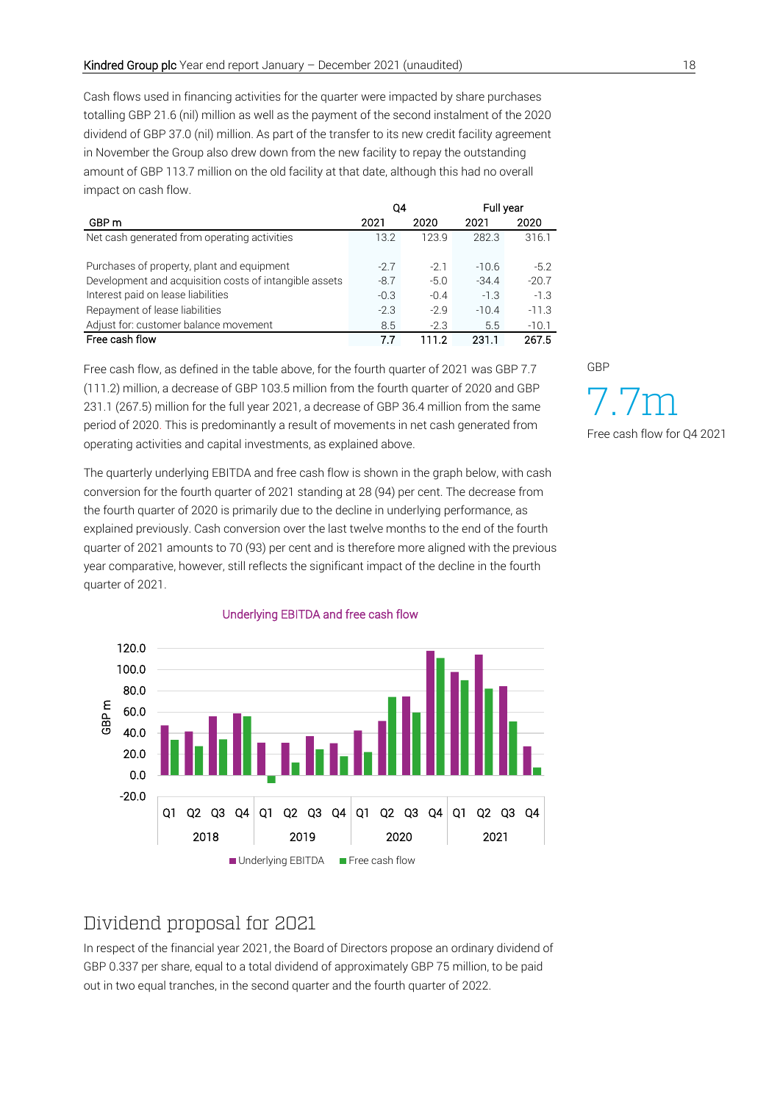Cash flows used in financing activities for the quarter were impacted by share purchases totalling GBP 21.6 (nil) million as well as the payment of the second instalment of the 2020 dividend of GBP 37.0 (nil) million. As part of the transfer to its new credit facility agreement in November the Group also drew down from the new facility to repay the outstanding amount of GBP 113.7 million on the old facility at that date, although this had no overall impact on cash flow.

|                                                        | 04     |        | Full year |         |
|--------------------------------------------------------|--------|--------|-----------|---------|
| GBP m                                                  | 2021   | 2020   | 2021      | 2020    |
| Net cash generated from operating activities           | 13.2   | 123.9  | 282.3     | 316.1   |
|                                                        |        |        |           |         |
| Purchases of property, plant and equipment             | $-27$  | $-21$  | $-10.6$   | $-5.2$  |
| Development and acquisition costs of intangible assets | $-8.7$ | $-5.0$ | $-34.4$   | $-20.7$ |
| Interest paid on lease liabilities                     | $-0.3$ | $-0.4$ | $-1.3$    | $-1.3$  |
| Repayment of lease liabilities                         | $-2.3$ | $-2.9$ | $-10.4$   | $-11.3$ |
| Adjust for: customer balance movement                  | 8.5    | $-2.3$ | 5.5       | $-10.1$ |
| Free cash flow                                         | 77     | 111.2  | 231.1     | 267.5   |

Free cash flow, as defined in the table above, for the fourth quarter of 2021 was GBP 7.7 (111.2) million, a decrease of GBP 103.5 million from the fourth quarter of 2020 and GBP 231.1 (267.5) million for the full year 2021, a decrease of GBP 36.4 million from the same period of 2020. This is predominantly a result of movements in net cash generated from operating activities and capital investments, as explained above.

The quarterly underlying EBITDA and free cash flow is shown in the graph below, with cash conversion for the fourth quarter of 2021 standing at 28 (94) per cent. The decrease from the fourth quarter of 2020 is primarily due to the decline in underlying performance, as explained previously. Cash conversion over the last twelve months to the end of the fourth quarter of 2021 amounts to 70 (93) per cent and is therefore more aligned with the previous year comparative, however, still reflects the significant impact of the decline in the fourth quarter of 2021.



#### Underlying EBITDA and free cash flow

# Dividend proposal for 2021

In respect of the financial year 2021, the Board of Directors propose an ordinary dividend of GBP 0.337 per share, equal to a total dividend of approximately GBP 75 million, to be paid out in two equal tranches, in the second quarter and the fourth quarter of 2022.

GBP

7.7m Free cash flow for Q4 2021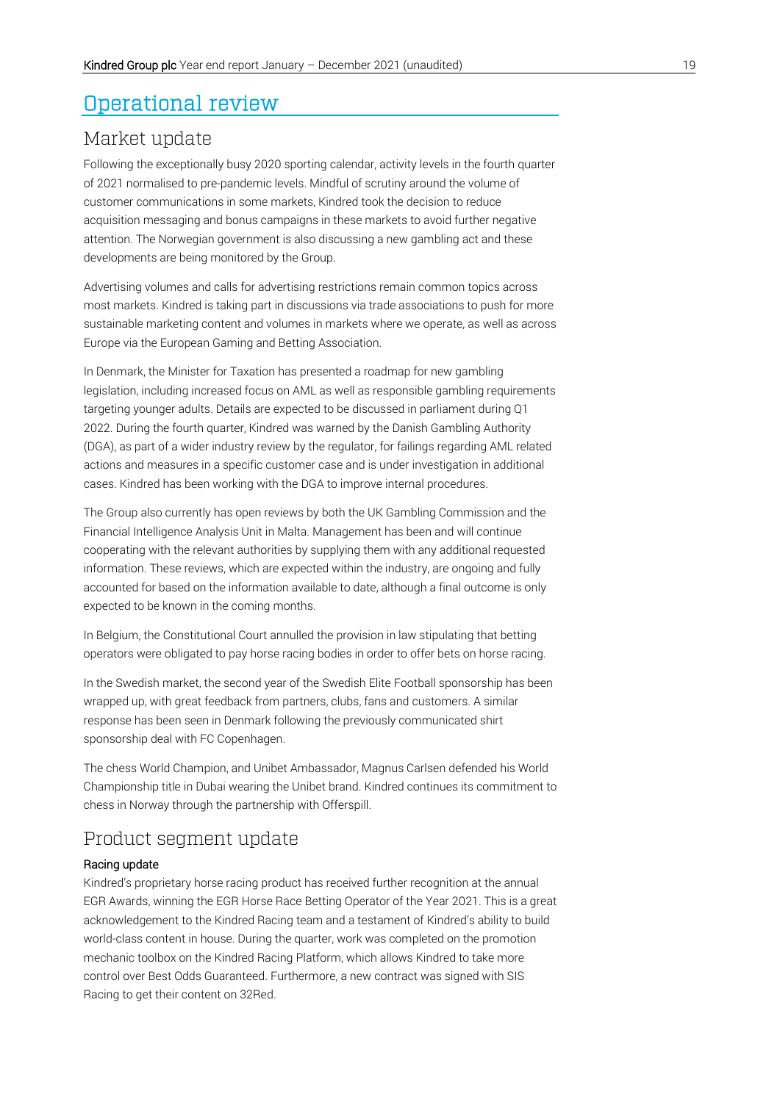# Operational review

## Market update

Following the exceptionally busy 2020 sporting calendar, activity levels in the fourth quarter of 2021 normalised to pre-pandemic levels. Mindful of scrutiny around the volume of customer communications in some markets, Kindred took the decision to reduce acquisition messaging and bonus campaigns in these markets to avoid further negative attention. The Norwegian government is also discussing a new gambling act and these developments are being monitored by the Group.

Advertising volumes and calls for advertising restrictions remain common topics across most markets. Kindred is taking part in discussions via trade associations to push for more sustainable marketing content and volumes in markets where we operate, as well as across Europe via the European Gaming and Betting Association.

In Denmark, the Minister for Taxation has presented a roadmap for new gambling legislation, including increased focus on AML as well as responsible gambling requirements targeting younger adults. Details are expected to be discussed in parliament during Q1 2022. During the fourth quarter, Kindred was warned by the Danish Gambling Authority (DGA), as part of a wider industry review by the regulator, for failings regarding AML related actions and measures in a specific customer case and is under investigation in additional cases. Kindred has been working with the DGA to improve internal procedures.

The Group also currently has open reviews by both the UK Gambling Commission and the Financial Intelligence Analysis Unit in Malta. Management has been and will continue cooperating with the relevant authorities by supplying them with any additional requested information. These reviews, which are expected within the industry, are ongoing and fully accounted for based on the information available to date, although a final outcome is only expected to be known in the coming months.

In Belgium, the Constitutional Court annulled the provision in law stipulating that betting operators were obligated to pay horse racing bodies in order to offer bets on horse racing.

In the Swedish market, the second year of the Swedish Elite Football sponsorship has been wrapped up, with great feedback from partners, clubs, fans and customers. A similar response has been seen in Denmark following the previously communicated shirt sponsorship deal with FC Copenhagen.

The chess World Champion, and Unibet Ambassador, Magnus Carlsen defended his World Championship title in Dubai wearing the Unibet brand. Kindred continues its commitment to chess in Norway through the partnership with Offerspill.

## Product segment update

#### Racing update

Kindred's proprietary horse racing product has received further recognition at the annual EGR Awards, winning the EGR Horse Race Betting Operator of the Year 2021. This is a great acknowledgement to the Kindred Racing team and a testament of Kindred's ability to build world-class content in house. During the quarter, work was completed on the promotion mechanic toolbox on the Kindred Racing Platform, which allows Kindred to take more control over Best Odds Guaranteed. Furthermore, a new contract was signed with SIS Racing to get their content on 32Red.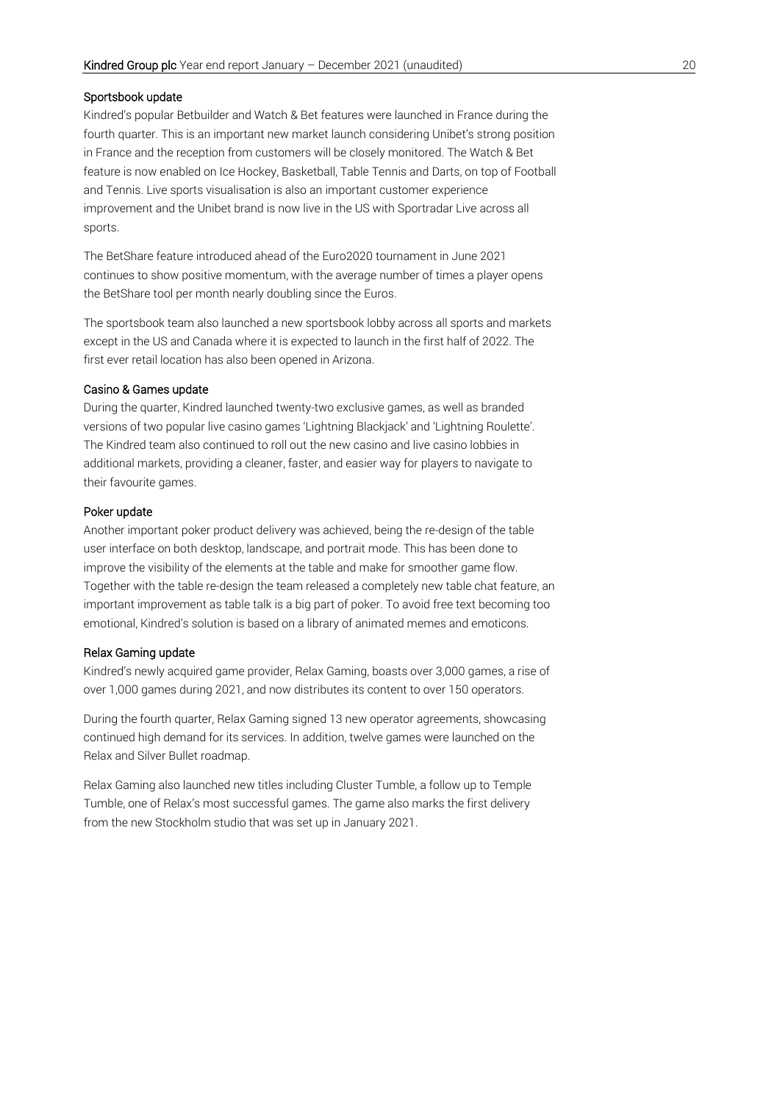#### Sportsbook update

Kindred's popular Betbuilder and Watch & Bet features were launched in France during the fourth quarter. This is an important new market launch considering Unibet's strong position in France and the reception from customers will be closely monitored. The Watch & Bet feature is now enabled on Ice Hockey, Basketball, Table Tennis and Darts, on top of Football and Tennis. Live sports visualisation is also an important customer experience improvement and the Unibet brand is now live in the US with Sportradar Live across all sports.

The BetShare feature introduced ahead of the Euro2020 tournament in June 2021 continues to show positive momentum, with the average number of times a player opens the BetShare tool per month nearly doubling since the Euros.

The sportsbook team also launched a new sportsbook lobby across all sports and markets except in the US and Canada where it is expected to launch in the first half of 2022. The first ever retail location has also been opened in Arizona.

#### Casino & Games update

During the quarter, Kindred launched twenty-two exclusive games, as well as branded versions of two popular live casino games 'Lightning Blackjack' and 'Lightning Roulette'. The Kindred team also continued to roll out the new casino and live casino lobbies in additional markets, providing a cleaner, faster, and easier way for players to navigate to their favourite games.

#### Poker update

Another important poker product delivery was achieved, being the re-design of the table user interface on both desktop, landscape, and portrait mode. This has been done to improve the visibility of the elements at the table and make for smoother game flow. Together with the table re-design the team released a completely new table chat feature, an important improvement as table talk is a big part of poker. To avoid free text becoming too emotional, Kindred's solution is based on a library of animated memes and emoticons.

#### Relax Gaming update

Kindred's newly acquired game provider, Relax Gaming, boasts over 3,000 games, a rise of over 1,000 games during 2021, and now distributes its content to over 150 operators.

During the fourth quarter, Relax Gaming signed 13 new operator agreements, showcasing continued high demand for its services. In addition, twelve games were launched on the Relax and Silver Bullet roadmap.

Relax Gaming also launched new titles including Cluster Tumble, a follow up to Temple Tumble, one of Relax's most successful games. The game also marks the first delivery from the new Stockholm studio that was set up in January 2021.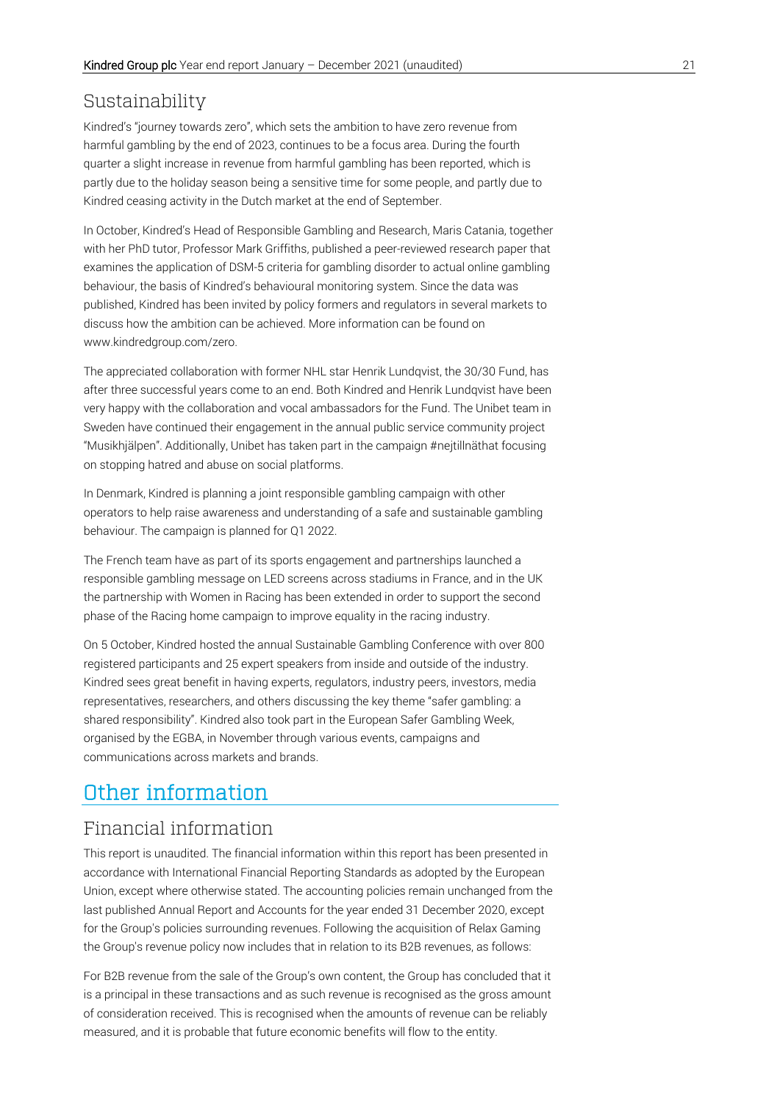## Sustainability

Kindred's "journey towards zero", which sets the ambition to have zero revenue from harmful gambling by the end of 2023, continues to be a focus area. During the fourth quarter a slight increase in revenue from harmful gambling has been reported, which is partly due to the holiday season being a sensitive time for some people, and partly due to Kindred ceasing activity in the Dutch market at the end of September.

In October, Kindred's Head of Responsible Gambling and Research, Maris Catania, together with her PhD tutor, Professor Mark Griffiths, published a peer-reviewed research paper that examines the application of DSM-5 criteria for gambling disorder to actual online gambling behaviour, the basis of Kindred's behavioural monitoring system. Since the data was published, Kindred has been invited by policy formers and regulators in several markets to discuss how the ambition can be achieved. More information can be found on www.kindredgroup.com/zero.

The appreciated collaboration with former NHL star Henrik Lundqvist, the 30/30 Fund, has after three successful years come to an end. Both Kindred and Henrik Lundqvist have been very happy with the collaboration and vocal ambassadors for the Fund. The Unibet team in Sweden have continued their engagement in the annual public service community project "Musikhjälpen". Additionally, Unibet has taken part in the campaign #nejtillnäthat focusing on stopping hatred and abuse on social platforms.

In Denmark, Kindred is planning a joint responsible gambling campaign with other operators to help raise awareness and understanding of a safe and sustainable gambling behaviour. The campaign is planned for Q1 2022.

The French team have as part of its sports engagement and partnerships launched a responsible gambling message on LED screens across stadiums in France, and in the UK the partnership with Women in Racing has been extended in order to support the second phase of the Racing home campaign to improve equality in the racing industry.

On 5 October, Kindred hosted the annual Sustainable Gambling Conference with over 800 registered participants and 25 expert speakers from inside and outside of the industry. Kindred sees great benefit in having experts, regulators, industry peers, investors, media representatives, researchers, and others discussing the key theme "safer gambling: a shared responsibility". Kindred also took part in the European Safer Gambling Week, organised by the EGBA, in November through various events, campaigns and communications across markets and brands.

# Other information

## Financial information

This report is unaudited. The financial information within this report has been presented in accordance with International Financial Reporting Standards as adopted by the European Union, except where otherwise stated. The accounting policies remain unchanged from the last published Annual Report and Accounts for the year ended 31 December 2020, except for the Group's policies surrounding revenues. Following the acquisition of Relax Gaming the Group's revenue policy now includes that in relation to its B2B revenues, as follows:

For B2B revenue from the sale of the Group's own content, the Group has concluded that it is a principal in these transactions and as such revenue is recognised as the gross amount of consideration received. This is recognised when the amounts of revenue can be reliably measured, and it is probable that future economic benefits will flow to the entity.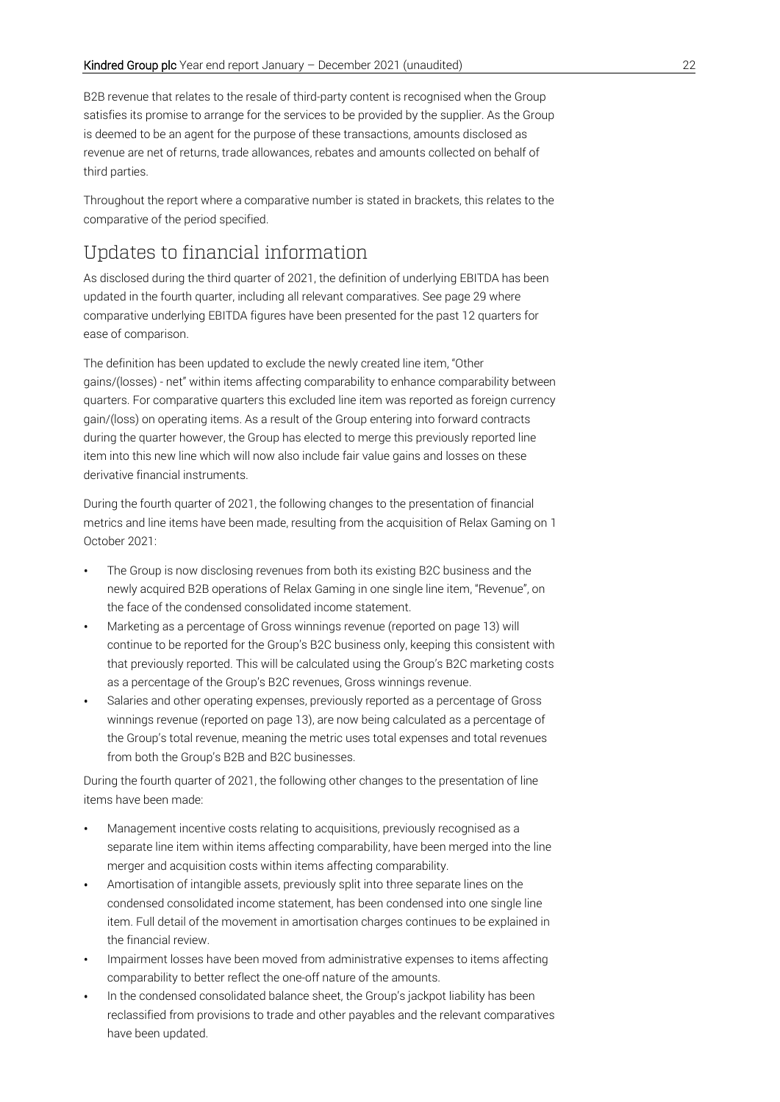B2B revenue that relates to the resale of third-party content is recognised when the Group satisfies its promise to arrange for the services to be provided by the supplier. As the Group is deemed to be an agent for the purpose of these transactions, amounts disclosed as revenue are net of returns, trade allowances, rebates and amounts collected on behalf of third parties.

Throughout the report where a comparative number is stated in brackets, this relates to the comparative of the period specified.

# Updates to financial information

As disclosed during the third quarter of 2021, the definition of underlying EBITDA has been updated in the fourth quarter, including all relevant comparatives. See page 29 where comparative underlying EBITDA figures have been presented for the past 12 quarters for ease of comparison.

The definition has been updated to exclude the newly created line item, "Other gains/(losses) - net" within items affecting comparability to enhance comparability between quarters. For comparative quarters this excluded line item was reported as foreign currency gain/(loss) on operating items. As a result of the Group entering into forward contracts during the quarter however, the Group has elected to merge this previously reported line item into this new line which will now also include fair value gains and losses on these derivative financial instruments.

During the fourth quarter of 2021, the following changes to the presentation of financial metrics and line items have been made, resulting from the acquisition of Relax Gaming on 1 October 2021:

- The Group is now disclosing revenues from both its existing B2C business and the newly acquired B2B operations of Relax Gaming in one single line item, "Revenue", on the face of the condensed consolidated income statement.
- Marketing as a percentage of Gross winnings revenue (reported on page 13) will continue to be reported for the Group's B2C business only, keeping this consistent with that previously reported. This will be calculated using the Group's B2C marketing costs as a percentage of the Group's B2C revenues, Gross winnings revenue.
- Salaries and other operating expenses, previously reported as a percentage of Gross winnings revenue (reported on page 13), are now being calculated as a percentage of the Group's total revenue, meaning the metric uses total expenses and total revenues from both the Group's B2B and B2C businesses.

During the fourth quarter of 2021, the following other changes to the presentation of line items have been made:

- Management incentive costs relating to acquisitions, previously recognised as a separate line item within items affecting comparability, have been merged into the line merger and acquisition costs within items affecting comparability.
- Amortisation of intangible assets, previously split into three separate lines on the condensed consolidated income statement, has been condensed into one single line item. Full detail of the movement in amortisation charges continues to be explained in the financial review.
- Impairment losses have been moved from administrative expenses to items affecting comparability to better reflect the one-off nature of the amounts.
- In the condensed consolidated balance sheet, the Group's jackpot liability has been reclassified from provisions to trade and other payables and the relevant comparatives have been updated.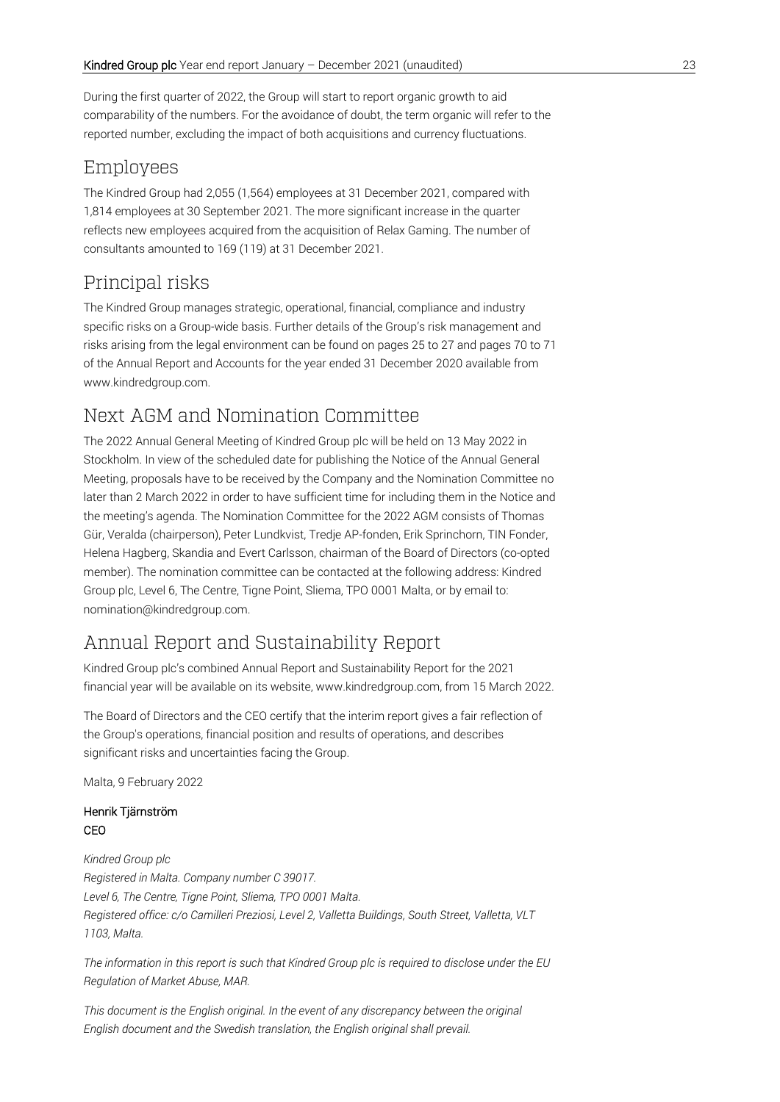During the first quarter of 2022, the Group will start to report organic growth to aid comparability of the numbers. For the avoidance of doubt, the term organic will refer to the reported number, excluding the impact of both acquisitions and currency fluctuations.

## Employees

The Kindred Group had 2,055 (1,564) employees at 31 December 2021, compared with 1,814 employees at 30 September 2021. The more significant increase in the quarter reflects new employees acquired from the acquisition of Relax Gaming. The number of consultants amounted to 169 (119) at 31 December 2021.

# Principal risks

The Kindred Group manages strategic, operational, financial, compliance and industry specific risks on a Group-wide basis. Further details of the Group's risk management and risks arising from the legal environment can be found on pages 25 to 27 and pages 70 to 71 of the Annual Report and Accounts for the year ended 31 December 2020 available from www.kindredgroup.com.

## Next AGM and Nomination Committee

The 2022 Annual General Meeting of Kindred Group plc will be held on 13 May 2022 in Stockholm. In view of the scheduled date for publishing the Notice of the Annual General Meeting, proposals have to be received by the Company and the Nomination Committee no later than 2 March 2022 in order to have sufficient time for including them in the Notice and the meeting's agenda. The Nomination Committee for the 2022 AGM consists of Thomas Gür, Veralda (chairperson), Peter Lundkvist, Tredje AP-fonden, Erik Sprinchorn, TIN Fonder, Helena Hagberg, Skandia and Evert Carlsson, chairman of the Board of Directors (co-opted member). The nomination committee can be contacted at the following address: Kindred Group plc, Level 6, The Centre, Tigne Point, Sliema, TPO 0001 Malta, or by email to: [nomination@kindredgroup.com.](mailto:nomination@kindredgroup.com)

## Annual Report and Sustainability Report

Kindred Group plc's combined Annual Report and Sustainability Report for the 2021 financial year will be available on its website, www.kindredgroup.com, from 15 March 2022.

The Board of Directors and the CEO certify that the interim report gives a fair reflection of the Group's operations, financial position and results of operations, and describes significant risks and uncertainties facing the Group.

Malta, 9 February 2022

#### Henrik Tjärnström CEO

*Kindred Group plc Registered in Malta. Company number C 39017. Level 6, The Centre, Tigne Point, Sliema, TPO 0001 Malta. Registered office: c/o Camilleri Preziosi, Level 2, Valletta Buildings, South Street, Valletta, VLT 1103, Malta.*

*The information in this report is such that Kindred Group plc is required to disclose under the EU Regulation of Market Abuse, MAR.*

*This document is the English original. In the event of any discrepancy between the original English document and the Swedish translation, the English original shall prevail.*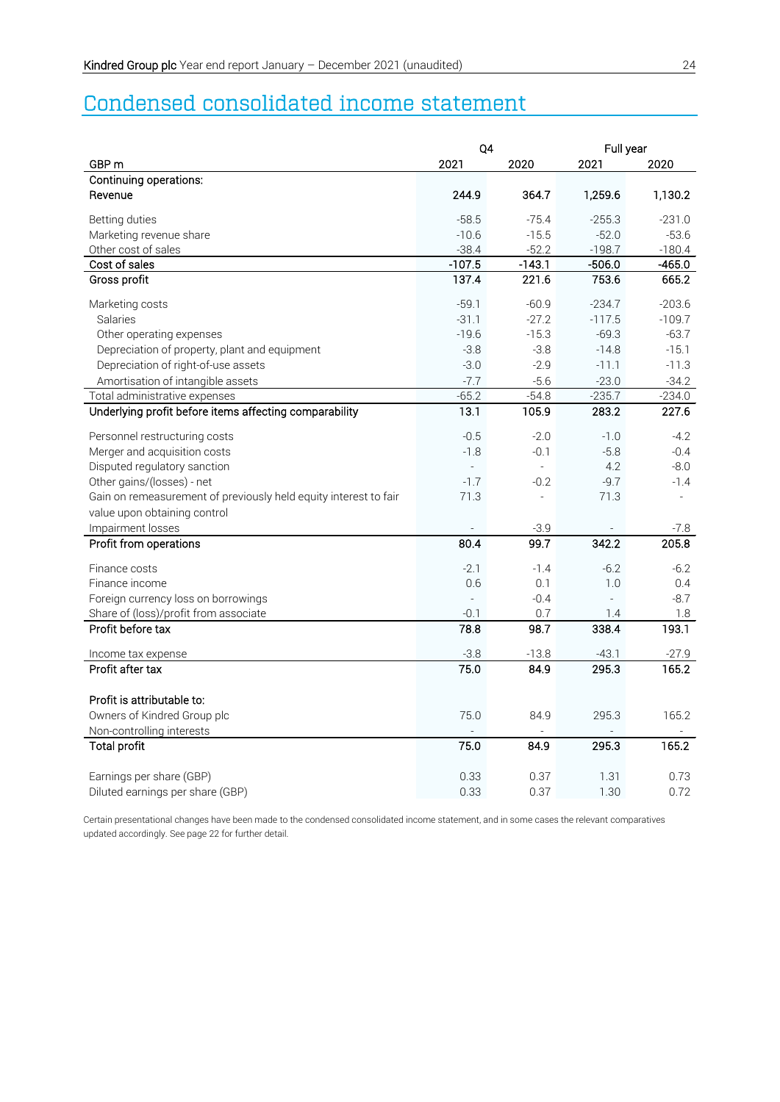# Condensed consolidated income statement

| GBP <sub>m</sub><br>2021<br>2020<br>2021<br>2020<br>Continuing operations:<br>244.9<br>364.7<br>1,259.6<br>1,130.2<br>Revenue<br>$-58.5$<br>$-75.4$<br>$-231.0$<br>Betting duties<br>$-255.3$<br>Marketing revenue share<br>$-10.6$<br>$-15.5$<br>$-52.0$<br>$-53.6$<br>$-38.4$<br>$-52.2$<br>$-198.7$<br>$-180.4$<br>Other cost of sales<br>Cost of sales<br>$-107.5$<br>$-506.0$<br>$-143.1$<br>$-465.0$<br>137.4<br>221.6<br>753.6<br>665.2<br>Gross profit<br>$-203.6$<br>Marketing costs<br>$-59.1$<br>$-60.9$<br>$-234.7$<br>Salaries<br>$-31.1$<br>$-27.2$<br>$-117.5$<br>$-109.7$<br>$-19.6$<br>$-15.3$<br>$-69.3$<br>$-63.7$<br>Other operating expenses<br>Depreciation of property, plant and equipment<br>$-3.8$<br>$-3.8$<br>$-14.8$<br>$-15.1$<br>$-2.9$<br>Depreciation of right-of-use assets<br>$-3.0$<br>$-11.1$<br>$-11.3$<br>Amortisation of intangible assets<br>$-7.7$<br>$-5.6$<br>$-23.0$<br>$-34.2$<br>$-235.7$<br>Total administrative expenses<br>$-65.2$<br>$-54.8$<br>$-234.0$<br>Underlying profit before items affecting comparability<br>13.1<br>105.9<br>283.2<br>227.6<br>Personnel restructuring costs<br>$-0.5$<br>$-2.0$<br>$-4.2$<br>$-1.0$<br>$-1.8$<br>$-5.8$<br>Merger and acquisition costs<br>$-0.1$<br>$-0.4$<br>Disputed regulatory sanction<br>4.2<br>$-8.0$<br>$\mathcal{L}$<br>Other gains/(losses) - net<br>$-1.7$<br>$-9.7$<br>$-0.2$<br>$-1.4$<br>Gain on remeasurement of previously held equity interest to fair<br>71.3<br>71.3<br>$\overline{\phantom{a}}$<br>÷.<br>value upon obtaining control<br>Impairment losses<br>$-3.9$<br>$-7.8$<br>342.2<br>80.4<br>99.7<br>205.8<br>Profit from operations<br>Finance costs<br>$-2.1$<br>$-1.4$<br>$-6.2$<br>$-6.2$<br>1.0<br>Finance income<br>0.6<br>0.1<br>0.4<br>Foreign currency loss on borrowings<br>$-0.4$<br>$-8.7$<br>$\overline{a}$<br>÷.<br>Share of (loss)/profit from associate<br>$-0.1$<br>0.7<br>1.4<br>1.8 |
|--------------------------------------------------------------------------------------------------------------------------------------------------------------------------------------------------------------------------------------------------------------------------------------------------------------------------------------------------------------------------------------------------------------------------------------------------------------------------------------------------------------------------------------------------------------------------------------------------------------------------------------------------------------------------------------------------------------------------------------------------------------------------------------------------------------------------------------------------------------------------------------------------------------------------------------------------------------------------------------------------------------------------------------------------------------------------------------------------------------------------------------------------------------------------------------------------------------------------------------------------------------------------------------------------------------------------------------------------------------------------------------------------------------------------------------------------------------------------------------------------------------------------------------------------------------------------------------------------------------------------------------------------------------------------------------------------------------------------------------------------------------------------------------------------------------------------------------------------------------------------------------------------------------------------------|
|                                                                                                                                                                                                                                                                                                                                                                                                                                                                                                                                                                                                                                                                                                                                                                                                                                                                                                                                                                                                                                                                                                                                                                                                                                                                                                                                                                                                                                                                                                                                                                                                                                                                                                                                                                                                                                                                                                                                |
|                                                                                                                                                                                                                                                                                                                                                                                                                                                                                                                                                                                                                                                                                                                                                                                                                                                                                                                                                                                                                                                                                                                                                                                                                                                                                                                                                                                                                                                                                                                                                                                                                                                                                                                                                                                                                                                                                                                                |
|                                                                                                                                                                                                                                                                                                                                                                                                                                                                                                                                                                                                                                                                                                                                                                                                                                                                                                                                                                                                                                                                                                                                                                                                                                                                                                                                                                                                                                                                                                                                                                                                                                                                                                                                                                                                                                                                                                                                |
|                                                                                                                                                                                                                                                                                                                                                                                                                                                                                                                                                                                                                                                                                                                                                                                                                                                                                                                                                                                                                                                                                                                                                                                                                                                                                                                                                                                                                                                                                                                                                                                                                                                                                                                                                                                                                                                                                                                                |
|                                                                                                                                                                                                                                                                                                                                                                                                                                                                                                                                                                                                                                                                                                                                                                                                                                                                                                                                                                                                                                                                                                                                                                                                                                                                                                                                                                                                                                                                                                                                                                                                                                                                                                                                                                                                                                                                                                                                |
|                                                                                                                                                                                                                                                                                                                                                                                                                                                                                                                                                                                                                                                                                                                                                                                                                                                                                                                                                                                                                                                                                                                                                                                                                                                                                                                                                                                                                                                                                                                                                                                                                                                                                                                                                                                                                                                                                                                                |
|                                                                                                                                                                                                                                                                                                                                                                                                                                                                                                                                                                                                                                                                                                                                                                                                                                                                                                                                                                                                                                                                                                                                                                                                                                                                                                                                                                                                                                                                                                                                                                                                                                                                                                                                                                                                                                                                                                                                |
|                                                                                                                                                                                                                                                                                                                                                                                                                                                                                                                                                                                                                                                                                                                                                                                                                                                                                                                                                                                                                                                                                                                                                                                                                                                                                                                                                                                                                                                                                                                                                                                                                                                                                                                                                                                                                                                                                                                                |
|                                                                                                                                                                                                                                                                                                                                                                                                                                                                                                                                                                                                                                                                                                                                                                                                                                                                                                                                                                                                                                                                                                                                                                                                                                                                                                                                                                                                                                                                                                                                                                                                                                                                                                                                                                                                                                                                                                                                |
|                                                                                                                                                                                                                                                                                                                                                                                                                                                                                                                                                                                                                                                                                                                                                                                                                                                                                                                                                                                                                                                                                                                                                                                                                                                                                                                                                                                                                                                                                                                                                                                                                                                                                                                                                                                                                                                                                                                                |
|                                                                                                                                                                                                                                                                                                                                                                                                                                                                                                                                                                                                                                                                                                                                                                                                                                                                                                                                                                                                                                                                                                                                                                                                                                                                                                                                                                                                                                                                                                                                                                                                                                                                                                                                                                                                                                                                                                                                |
|                                                                                                                                                                                                                                                                                                                                                                                                                                                                                                                                                                                                                                                                                                                                                                                                                                                                                                                                                                                                                                                                                                                                                                                                                                                                                                                                                                                                                                                                                                                                                                                                                                                                                                                                                                                                                                                                                                                                |
|                                                                                                                                                                                                                                                                                                                                                                                                                                                                                                                                                                                                                                                                                                                                                                                                                                                                                                                                                                                                                                                                                                                                                                                                                                                                                                                                                                                                                                                                                                                                                                                                                                                                                                                                                                                                                                                                                                                                |
|                                                                                                                                                                                                                                                                                                                                                                                                                                                                                                                                                                                                                                                                                                                                                                                                                                                                                                                                                                                                                                                                                                                                                                                                                                                                                                                                                                                                                                                                                                                                                                                                                                                                                                                                                                                                                                                                                                                                |
|                                                                                                                                                                                                                                                                                                                                                                                                                                                                                                                                                                                                                                                                                                                                                                                                                                                                                                                                                                                                                                                                                                                                                                                                                                                                                                                                                                                                                                                                                                                                                                                                                                                                                                                                                                                                                                                                                                                                |
|                                                                                                                                                                                                                                                                                                                                                                                                                                                                                                                                                                                                                                                                                                                                                                                                                                                                                                                                                                                                                                                                                                                                                                                                                                                                                                                                                                                                                                                                                                                                                                                                                                                                                                                                                                                                                                                                                                                                |
|                                                                                                                                                                                                                                                                                                                                                                                                                                                                                                                                                                                                                                                                                                                                                                                                                                                                                                                                                                                                                                                                                                                                                                                                                                                                                                                                                                                                                                                                                                                                                                                                                                                                                                                                                                                                                                                                                                                                |
|                                                                                                                                                                                                                                                                                                                                                                                                                                                                                                                                                                                                                                                                                                                                                                                                                                                                                                                                                                                                                                                                                                                                                                                                                                                                                                                                                                                                                                                                                                                                                                                                                                                                                                                                                                                                                                                                                                                                |
|                                                                                                                                                                                                                                                                                                                                                                                                                                                                                                                                                                                                                                                                                                                                                                                                                                                                                                                                                                                                                                                                                                                                                                                                                                                                                                                                                                                                                                                                                                                                                                                                                                                                                                                                                                                                                                                                                                                                |
|                                                                                                                                                                                                                                                                                                                                                                                                                                                                                                                                                                                                                                                                                                                                                                                                                                                                                                                                                                                                                                                                                                                                                                                                                                                                                                                                                                                                                                                                                                                                                                                                                                                                                                                                                                                                                                                                                                                                |
|                                                                                                                                                                                                                                                                                                                                                                                                                                                                                                                                                                                                                                                                                                                                                                                                                                                                                                                                                                                                                                                                                                                                                                                                                                                                                                                                                                                                                                                                                                                                                                                                                                                                                                                                                                                                                                                                                                                                |
|                                                                                                                                                                                                                                                                                                                                                                                                                                                                                                                                                                                                                                                                                                                                                                                                                                                                                                                                                                                                                                                                                                                                                                                                                                                                                                                                                                                                                                                                                                                                                                                                                                                                                                                                                                                                                                                                                                                                |
|                                                                                                                                                                                                                                                                                                                                                                                                                                                                                                                                                                                                                                                                                                                                                                                                                                                                                                                                                                                                                                                                                                                                                                                                                                                                                                                                                                                                                                                                                                                                                                                                                                                                                                                                                                                                                                                                                                                                |
|                                                                                                                                                                                                                                                                                                                                                                                                                                                                                                                                                                                                                                                                                                                                                                                                                                                                                                                                                                                                                                                                                                                                                                                                                                                                                                                                                                                                                                                                                                                                                                                                                                                                                                                                                                                                                                                                                                                                |
|                                                                                                                                                                                                                                                                                                                                                                                                                                                                                                                                                                                                                                                                                                                                                                                                                                                                                                                                                                                                                                                                                                                                                                                                                                                                                                                                                                                                                                                                                                                                                                                                                                                                                                                                                                                                                                                                                                                                |
|                                                                                                                                                                                                                                                                                                                                                                                                                                                                                                                                                                                                                                                                                                                                                                                                                                                                                                                                                                                                                                                                                                                                                                                                                                                                                                                                                                                                                                                                                                                                                                                                                                                                                                                                                                                                                                                                                                                                |
|                                                                                                                                                                                                                                                                                                                                                                                                                                                                                                                                                                                                                                                                                                                                                                                                                                                                                                                                                                                                                                                                                                                                                                                                                                                                                                                                                                                                                                                                                                                                                                                                                                                                                                                                                                                                                                                                                                                                |
|                                                                                                                                                                                                                                                                                                                                                                                                                                                                                                                                                                                                                                                                                                                                                                                                                                                                                                                                                                                                                                                                                                                                                                                                                                                                                                                                                                                                                                                                                                                                                                                                                                                                                                                                                                                                                                                                                                                                |
|                                                                                                                                                                                                                                                                                                                                                                                                                                                                                                                                                                                                                                                                                                                                                                                                                                                                                                                                                                                                                                                                                                                                                                                                                                                                                                                                                                                                                                                                                                                                                                                                                                                                                                                                                                                                                                                                                                                                |
| 338.4<br>Profit before tax<br>78.8<br>98.7<br>193.1                                                                                                                                                                                                                                                                                                                                                                                                                                                                                                                                                                                                                                                                                                                                                                                                                                                                                                                                                                                                                                                                                                                                                                                                                                                                                                                                                                                                                                                                                                                                                                                                                                                                                                                                                                                                                                                                            |
| $-13.8$<br>$-43.1$<br>$-27.9$<br>$-3.8$<br>Income tax expense                                                                                                                                                                                                                                                                                                                                                                                                                                                                                                                                                                                                                                                                                                                                                                                                                                                                                                                                                                                                                                                                                                                                                                                                                                                                                                                                                                                                                                                                                                                                                                                                                                                                                                                                                                                                                                                                  |
| 295.3<br>Profit after tax<br>75.0<br>84.9<br>165.2                                                                                                                                                                                                                                                                                                                                                                                                                                                                                                                                                                                                                                                                                                                                                                                                                                                                                                                                                                                                                                                                                                                                                                                                                                                                                                                                                                                                                                                                                                                                                                                                                                                                                                                                                                                                                                                                             |
|                                                                                                                                                                                                                                                                                                                                                                                                                                                                                                                                                                                                                                                                                                                                                                                                                                                                                                                                                                                                                                                                                                                                                                                                                                                                                                                                                                                                                                                                                                                                                                                                                                                                                                                                                                                                                                                                                                                                |
| Profit is attributable to:                                                                                                                                                                                                                                                                                                                                                                                                                                                                                                                                                                                                                                                                                                                                                                                                                                                                                                                                                                                                                                                                                                                                                                                                                                                                                                                                                                                                                                                                                                                                                                                                                                                                                                                                                                                                                                                                                                     |
| Owners of Kindred Group plc<br>75.0<br>295.3<br>165.2<br>84.9                                                                                                                                                                                                                                                                                                                                                                                                                                                                                                                                                                                                                                                                                                                                                                                                                                                                                                                                                                                                                                                                                                                                                                                                                                                                                                                                                                                                                                                                                                                                                                                                                                                                                                                                                                                                                                                                  |
| Non-controlling interests                                                                                                                                                                                                                                                                                                                                                                                                                                                                                                                                                                                                                                                                                                                                                                                                                                                                                                                                                                                                                                                                                                                                                                                                                                                                                                                                                                                                                                                                                                                                                                                                                                                                                                                                                                                                                                                                                                      |
| <b>Total profit</b><br>75.0<br>84.9<br>295.3<br>165.2                                                                                                                                                                                                                                                                                                                                                                                                                                                                                                                                                                                                                                                                                                                                                                                                                                                                                                                                                                                                                                                                                                                                                                                                                                                                                                                                                                                                                                                                                                                                                                                                                                                                                                                                                                                                                                                                          |
| Earnings per share (GBP)<br>0.33<br>0.37<br>1.31<br>0.73                                                                                                                                                                                                                                                                                                                                                                                                                                                                                                                                                                                                                                                                                                                                                                                                                                                                                                                                                                                                                                                                                                                                                                                                                                                                                                                                                                                                                                                                                                                                                                                                                                                                                                                                                                                                                                                                       |
| Diluted earnings per share (GBP)<br>0.33<br>0.37<br>1.30<br>0.72                                                                                                                                                                                                                                                                                                                                                                                                                                                                                                                                                                                                                                                                                                                                                                                                                                                                                                                                                                                                                                                                                                                                                                                                                                                                                                                                                                                                                                                                                                                                                                                                                                                                                                                                                                                                                                                               |

Certain presentational changes have been made to the condensed consolidated income statement, and in some cases the relevant comparatives updated accordingly. See page 22 for further detail.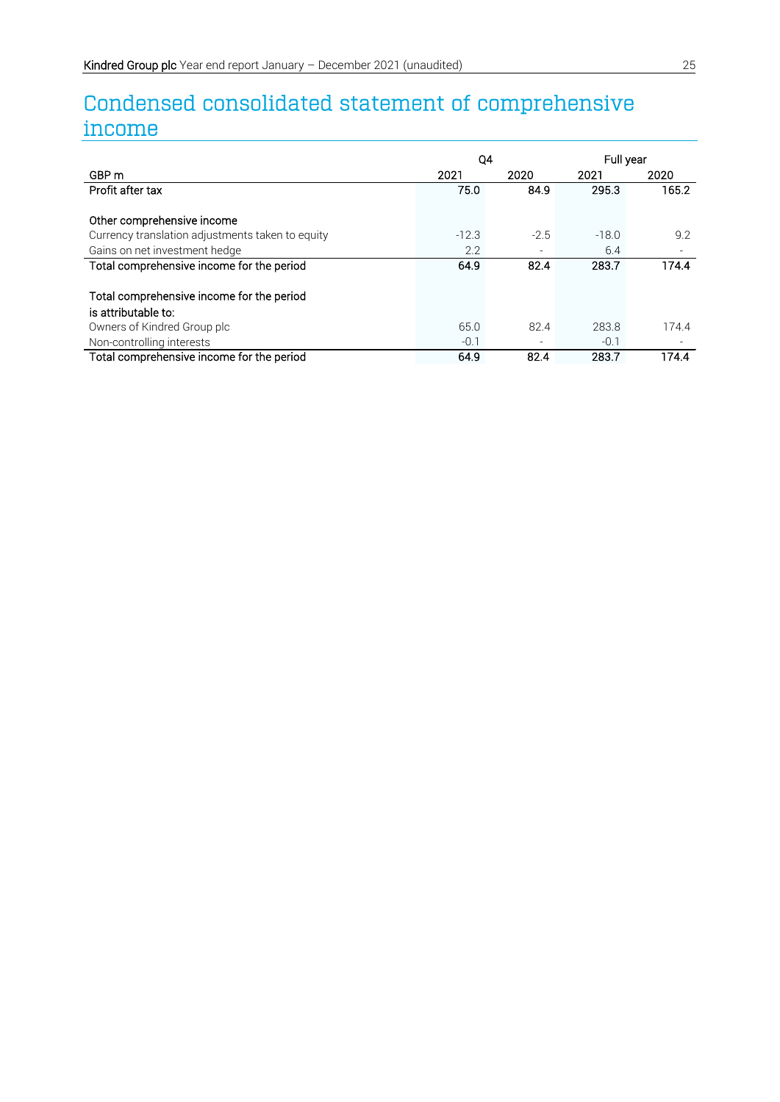# Condensed consolidated statement of comprehensive income

|                                                  | Q4      |        |         | Full year |  |
|--------------------------------------------------|---------|--------|---------|-----------|--|
| GBP <sub>m</sub>                                 | 2021    | 2020   | 2021    | 2020      |  |
| Profit after tax                                 | 75.0    | 84.9   | 295.3   | 165.2     |  |
|                                                  |         |        |         |           |  |
| Other comprehensive income                       |         |        |         |           |  |
| Currency translation adjustments taken to equity | $-12.3$ | $-2.5$ | $-18.0$ | 9.2       |  |
| Gains on net investment hedge                    | 2.2     |        | 6.4     |           |  |
| Total comprehensive income for the period        | 64.9    | 82.4   | 283.7   | 174.4     |  |
|                                                  |         |        |         |           |  |
| Total comprehensive income for the period        |         |        |         |           |  |
| is attributable to:                              |         |        |         |           |  |
| Owners of Kindred Group plc                      | 65.0    | 82.4   | 283.8   | 174.4     |  |
| Non-controlling interests                        | $-0.1$  |        | $-0.1$  |           |  |
| Total comprehensive income for the period        | 64.9    | 82.4   | 283.7   | 174.4     |  |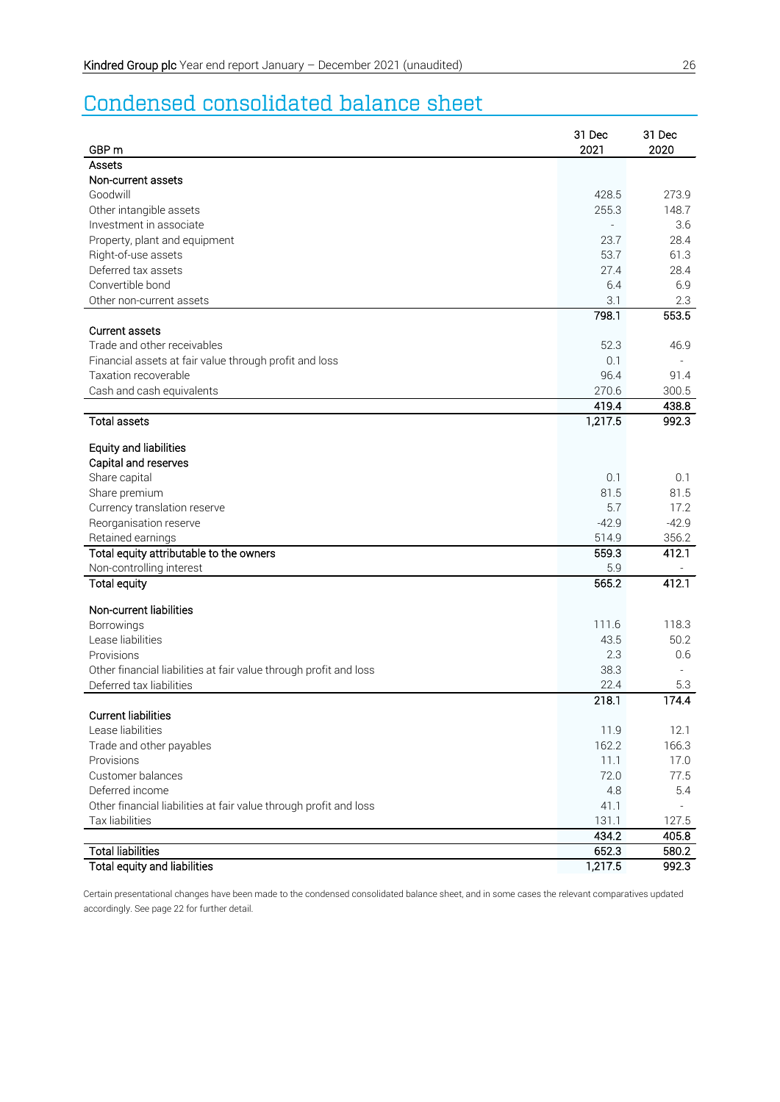# Condensed consolidated balance sheet

| GBP <sub>m</sub>                                                  | 31 Dec<br>2021 | 31 Dec<br>2020 |
|-------------------------------------------------------------------|----------------|----------------|
| Assets                                                            |                |                |
| Non-current assets                                                |                |                |
| Goodwill                                                          | 428.5          | 273.9          |
| Other intangible assets                                           | 255.3          | 148.7          |
| Investment in associate                                           |                | 3.6            |
| Property, plant and equipment                                     | 23.7           | 28.4           |
| Right-of-use assets                                               | 53.7           | 61.3           |
| Deferred tax assets                                               | 27.4           | 28.4           |
| Convertible bond                                                  | 6.4            | 6.9            |
| Other non-current assets                                          | 3.1            | 2.3            |
|                                                                   | 798.1          | 553.5          |
| <b>Current assets</b>                                             |                |                |
| Trade and other receivables                                       | 52.3           | 46.9           |
| Financial assets at fair value through profit and loss            | 0.1            |                |
| Taxation recoverable                                              | 96.4           | 91.4           |
| Cash and cash equivalents                                         | 270.6<br>419.4 | 300.5<br>438.8 |
| <b>Total assets</b>                                               | 1,217.5        | 992.3          |
|                                                                   |                |                |
| <b>Equity and liabilities</b>                                     |                |                |
| Capital and reserves                                              |                |                |
| Share capital                                                     | 0.1            | 0.1            |
| Share premium                                                     | 81.5           | 81.5           |
| Currency translation reserve                                      | 5.7            | 17.2           |
| Reorganisation reserve                                            | $-42.9$        | $-42.9$        |
| Retained earnings                                                 | 514.9          | 356.2          |
| Total equity attributable to the owners                           | 559.3          | 412.1          |
| Non-controlling interest                                          | 5.9            |                |
| <b>Total equity</b>                                               | 565.2          | 412.1          |
| Non-current liabilities                                           |                |                |
| Borrowings                                                        | 111.6          | 118.3          |
| Lease liabilities                                                 | 43.5           | 50.2           |
| Provisions                                                        | 2.3            | 0.6            |
| Other financial liabilities at fair value through profit and loss | 38.3           |                |
| Deferred tax liabilities                                          | 22.4           | 5.3            |
| <b>Current liabilities</b>                                        | 218.1          | 174.4          |
| Lease liabilities                                                 | 11.9           | 12.1           |
| Trade and other payables                                          | 162.2          | 166.3          |
| Provisions                                                        | 11.1           | 17.0           |
| Customer balances                                                 | 72.0           | 77.5           |
| Deferred income                                                   | 4.8            | 5.4            |
| Other financial liabilities at fair value through profit and loss | 41.1           |                |
| Tax liabilities                                                   | 131.1          | 127.5          |
|                                                                   | 434.2          | 405.8          |
| <b>Total liabilities</b>                                          | 652.3          | 580.2          |
| Total equity and liabilities                                      | 1,217.5        | 992.3          |

Certain presentational changes have been made to the condensed consolidated balance sheet, and in some cases the relevant comparatives updated accordingly. See page 22 for further detail.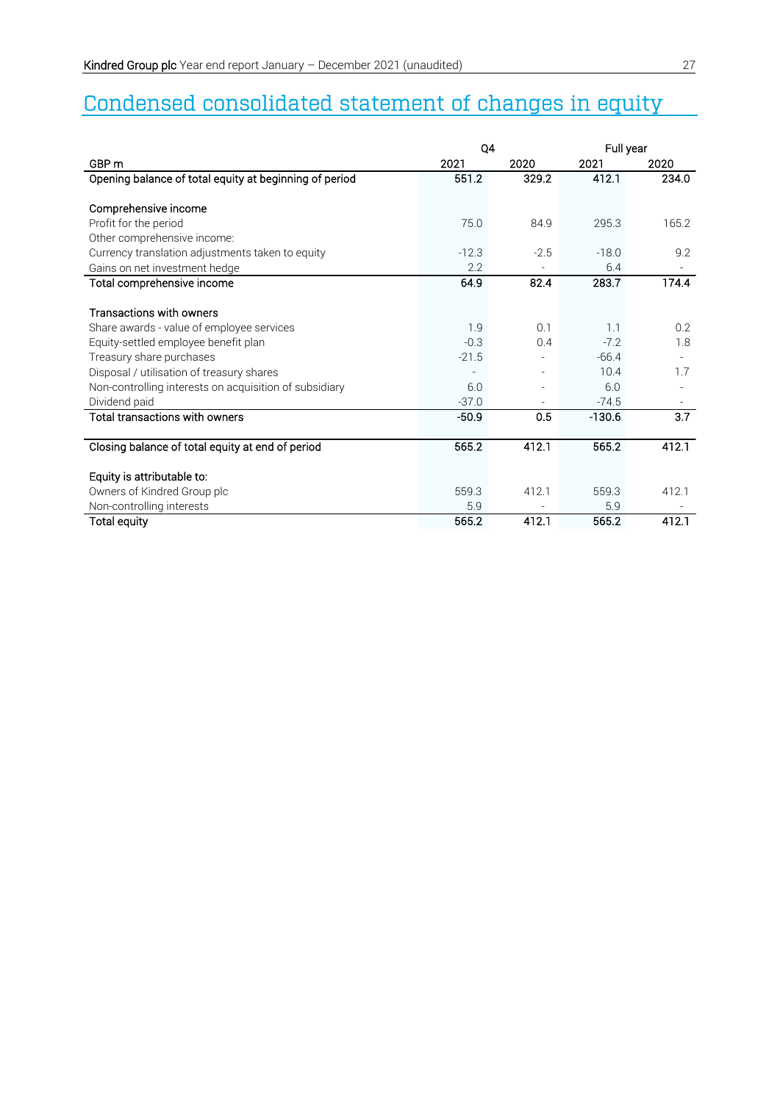# Condensed consolidated statement of changes in equity

|                                                        | Q4      |        | Full year |        |
|--------------------------------------------------------|---------|--------|-----------|--------|
| GBP <sub>m</sub>                                       | 2021    | 2020   | 2021      | 2020   |
| Opening balance of total equity at beginning of period | 551.2   | 329.2  | 412.1     | 234.0  |
|                                                        |         |        |           |        |
| Comprehensive income                                   |         |        |           |        |
| Profit for the period                                  | 75.0    | 84.9   | 295.3     | 165.2  |
| Other comprehensive income:                            |         |        |           |        |
| Currency translation adjustments taken to equity       | $-12.3$ | $-2.5$ | $-18.0$   | 9.2    |
| Gains on net investment hedge                          | 2.2     |        | 6.4       |        |
| Total comprehensive income                             | 64.9    | 82.4   | 283.7     | 174.4  |
|                                                        |         |        |           |        |
| <b>Transactions with owners</b>                        |         |        |           |        |
| Share awards - value of employee services              | 1.9     | 0.1    | 1.1       | 0.2    |
| Equity-settled employee benefit plan                   | $-0.3$  | 0.4    | $-7.2$    | 1.8    |
| Treasury share purchases                               | $-21.5$ |        | $-66.4$   | $\sim$ |
| Disposal / utilisation of treasury shares              |         |        | 10.4      | 1.7    |
| Non-controlling interests on acquisition of subsidiary | 6.0     |        | 6.0       |        |
| Dividend paid                                          | $-37.0$ |        | $-74.5$   |        |
| Total transactions with owners                         | $-50.9$ | 0.5    | $-130.6$  | 3.7    |
|                                                        |         |        |           |        |
| Closing balance of total equity at end of period       | 565.2   | 412.1  | 565.2     | 412.1  |
|                                                        |         |        |           |        |
| Equity is attributable to:                             |         |        |           |        |
| Owners of Kindred Group plc                            | 559.3   | 412.1  | 559.3     | 412.1  |
| Non-controlling interests                              | 5.9     |        | 5.9       |        |
| <b>Total equity</b>                                    | 565.2   | 412.1  | 565.2     | 412.1  |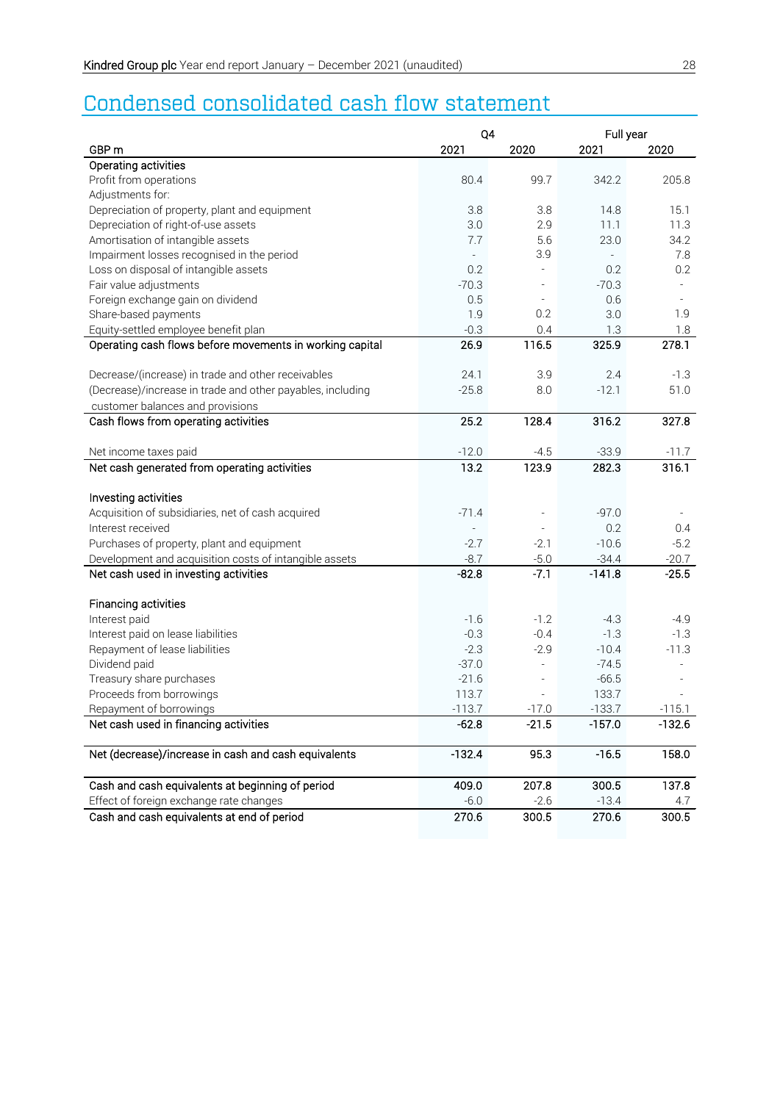# Condensed consolidated cash flow statement

|                                                            | Q4              |                              | Full year                |                          |  |  |
|------------------------------------------------------------|-----------------|------------------------------|--------------------------|--------------------------|--|--|
| GBP <sub>m</sub>                                           | 2021            | 2020                         | 2021                     | 2020                     |  |  |
| Operating activities                                       |                 |                              |                          |                          |  |  |
| Profit from operations                                     | 80.4            | 99.7                         | 342.2                    | 205.8                    |  |  |
| Adjustments for:                                           |                 |                              |                          |                          |  |  |
| Depreciation of property, plant and equipment              | 3.8             | 3.8                          | 14.8                     | 15.1                     |  |  |
| Depreciation of right-of-use assets                        | 3.0             | 2.9                          | 11.1                     | 11.3                     |  |  |
| Amortisation of intangible assets                          | 7.7             | 5.6                          | 23.0                     | 34.2                     |  |  |
| Impairment losses recognised in the period                 | $\overline{a}$  | 3.9                          | $\overline{\phantom{a}}$ | 7.8                      |  |  |
| Loss on disposal of intangible assets                      | 0.2             | L,                           | 0.2                      | 0.2                      |  |  |
| Fair value adjustments                                     | $-70.3$         |                              | $-70.3$                  |                          |  |  |
| Foreign exchange gain on dividend                          | 0.5             | $\qquad \qquad \blacksquare$ | 0.6                      | $\overline{\phantom{a}}$ |  |  |
| Share-based payments                                       | 1.9             | 0.2                          | 3.0                      | 1.9                      |  |  |
| Equity-settled employee benefit plan                       | $-0.3$          | 0.4                          | 1.3                      | 1.8                      |  |  |
| Operating cash flows before movements in working capital   | 26.9            | 116.5                        | 325.9                    | 278.1                    |  |  |
| Decrease/(increase) in trade and other receivables         | 24.1            | 3.9                          | 2.4                      | $-1.3$                   |  |  |
| (Decrease)/increase in trade and other payables, including | $-25.8$         | 8.0                          | $-12.1$                  | 51.0                     |  |  |
| customer balances and provisions                           |                 |                              |                          |                          |  |  |
| Cash flows from operating activities                       | 25.2            | 128.4                        | 316.2                    | 327.8                    |  |  |
|                                                            |                 |                              |                          |                          |  |  |
| Net income taxes paid                                      | $-12.0$         | $-4.5$                       | $-33.9$                  | $-11.7$                  |  |  |
| Net cash generated from operating activities               | 13.2            | 123.9                        | 282.3                    | 316.1                    |  |  |
| Investing activities                                       |                 |                              |                          |                          |  |  |
| Acquisition of subsidiaries, net of cash acquired          | $-71.4$         |                              | $-97.0$                  |                          |  |  |
| Interest received                                          | ÷,              |                              | 0.2                      | 0.4                      |  |  |
| Purchases of property, plant and equipment                 | $-2.7$          | $-2.1$                       | $-10.6$                  | $-5.2$                   |  |  |
| Development and acquisition costs of intangible assets     | $-8.7$          | $-5.0$                       | $-34.4$                  | $-20.7$                  |  |  |
| Net cash used in investing activities                      | $-82.8$         | $-7.1$                       | $-141.8$                 | $-25.5$                  |  |  |
|                                                            |                 |                              |                          |                          |  |  |
| Financing activities                                       |                 |                              |                          |                          |  |  |
| Interest paid                                              | $-1.6$          | $-1.2$                       | $-4.3$                   | $-4.9$                   |  |  |
| Interest paid on lease liabilities                         | $-0.3$          | $-0.4$                       | $-1.3$                   | $-1.3$                   |  |  |
| Repayment of lease liabilities                             | $-2.3$          | $-2.9$                       | $-10.4$                  | $-11.3$                  |  |  |
| Dividend paid                                              | $-37.0$         | $\overline{a}$               | $-74.5$                  |                          |  |  |
| Treasury share purchases                                   | $-21.6$         |                              | $-66.5$                  |                          |  |  |
| Proceeds from borrowings                                   | 113.7           |                              | 133.7                    |                          |  |  |
| Repayment of borrowings                                    | $-113.7$        | $-17.0$                      | $-133.7$                 | $-115.1$                 |  |  |
| Net cash used in financing activities                      | $-62.8$         | $-21.5$                      | $-157.0$                 | $-132.6$                 |  |  |
| Net (decrease)/increase in cash and cash equivalents       | $-132.4$        | 95.3                         | $-16.5$                  | 158.0                    |  |  |
| Cash and cash equivalents at beginning of period           | 409.0           | 207.8                        | 300.5                    | 137.8                    |  |  |
|                                                            |                 |                              |                          |                          |  |  |
| Effect of foreign exchange rate changes                    | $-6.0$<br>270.6 | $-2.6$                       | $-13.4$                  | 4.7                      |  |  |
| Cash and cash equivalents at end of period                 |                 | 300.5                        | 270.6                    | 300.5                    |  |  |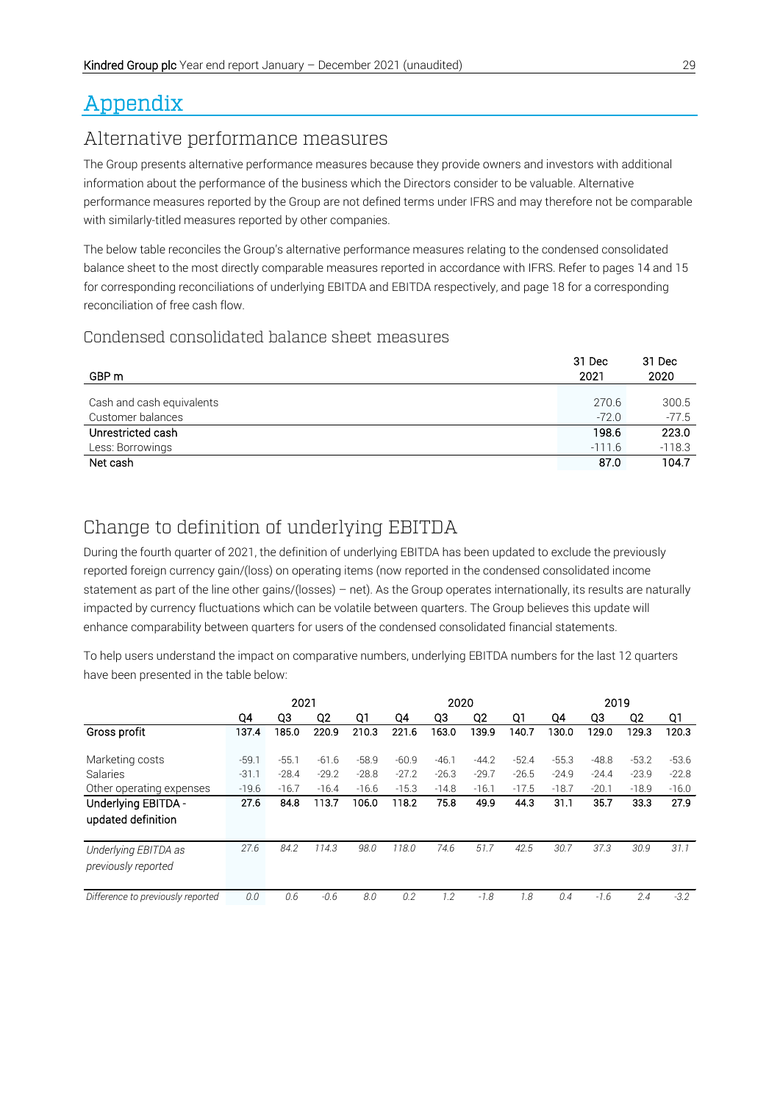# Appendix

## Alternative performance measures

The Group presents alternative performance measures because they provide owners and investors with additional information about the performance of the business which the Directors consider to be valuable. Alternative performance measures reported by the Group are not defined terms under IFRS and may therefore not be comparable with similarly-titled measures reported by other companies.

The below table reconciles the Group's alternative performance measures relating to the condensed consolidated balance sheet to the most directly comparable measures reported in accordance with IFRS. Refer to pages 14 and 15 for corresponding reconciliations of underlying EBITDA and EBITDA respectively, and page 18 for a corresponding reconciliation of free cash flow.

## Condensed consolidated balance sheet measures

| GBP m                     | 31 Dec<br>2021 | 31 Dec<br>2020 |
|---------------------------|----------------|----------------|
| Cash and cash equivalents | 270.6          | 300.5          |
| Customer balances         | $-72.0$        | $-77.5$        |
| Unrestricted cash         | 198.6          | 223.0          |
| Less: Borrowings          | $-111.6$       | $-118.3$       |
| Net cash                  | 87.0           | 104.7          |
|                           |                |                |

# Change to definition of underlying EBITDA

During the fourth quarter of 2021, the definition of underlying EBITDA has been updated to exclude the previously reported foreign currency gain/(loss) on operating items (now reported in the condensed consolidated income statement as part of the line other gains/(losses) – net). As the Group operates internationally, its results are naturally impacted by currency fluctuations which can be volatile between quarters. The Group believes this update will enhance comparability between quarters for users of the condensed consolidated financial statements.

To help users understand the impact on comparative numbers, underlying EBITDA numbers for the last 12 quarters have been presented in the table below:

|                                   |         | 2021    |         |         |         | 2020    |         |         |         | 2019    |         |         |  |
|-----------------------------------|---------|---------|---------|---------|---------|---------|---------|---------|---------|---------|---------|---------|--|
|                                   | Q4      | Q3      | Q2      | Q1      | Q4      | Q3      | Q2      | Q1      | Q4      | Q3      | Q2      | Q1      |  |
| Gross profit                      | 137.4   | 185.0   | 220.9   | 210.3   | 221.6   | 163.0   | 139.9   | 140.7   | 130.0   | 129.0   | 129.3   | 120.3   |  |
|                                   |         |         |         |         |         |         |         |         |         |         |         |         |  |
| Marketing costs                   | $-59.1$ | $-55.1$ | $-61.6$ | $-58.9$ | $-60.9$ | $-46.1$ | $-44.2$ | $-52.4$ | $-55.3$ | $-48.8$ | $-53.2$ | $-53.6$ |  |
| Salaries                          | $-31.1$ | $-28.4$ | $-29.2$ | $-28.8$ | $-27.2$ | $-26.3$ | $-29.7$ | $-26.5$ | $-24.9$ | $-24.4$ | $-23.9$ | $-22.8$ |  |
| Other operating expenses          | $-19.6$ | $-16.7$ | $-16.4$ | $-16.6$ | $-15.3$ | $-14.8$ | $-16.1$ | $-17.5$ | $-18.7$ | $-20.1$ | $-18.9$ | $-16.0$ |  |
| Underlying EBITDA -               | 27.6    | 84.8    | 113.7   | 106.0   | 118.2   | 75.8    | 49.9    | 44.3    | 31.1    | 35.7    | 33.3    | 27.9    |  |
| updated definition                |         |         |         |         |         |         |         |         |         |         |         |         |  |
|                                   |         |         |         |         |         |         |         |         |         |         |         |         |  |
| Underlying EBITDA as              | 27.6    | 84.2    | 114.3   | 98.0    | 118.0   | 74.6    | 51.7    | 42.5    | 30.7    | 37.3    | 30.9    | 31.1    |  |
| previously reported               |         |         |         |         |         |         |         |         |         |         |         |         |  |
|                                   |         |         |         |         |         |         |         |         |         |         |         |         |  |
| Difference to previously reported | 0.0     | 0.6     | $-0.6$  | 8.0     | 0.2     | 1.2     | $-7.8$  | 1.8     | 0.4     | $-7.6$  | 2.4     | $-3.2$  |  |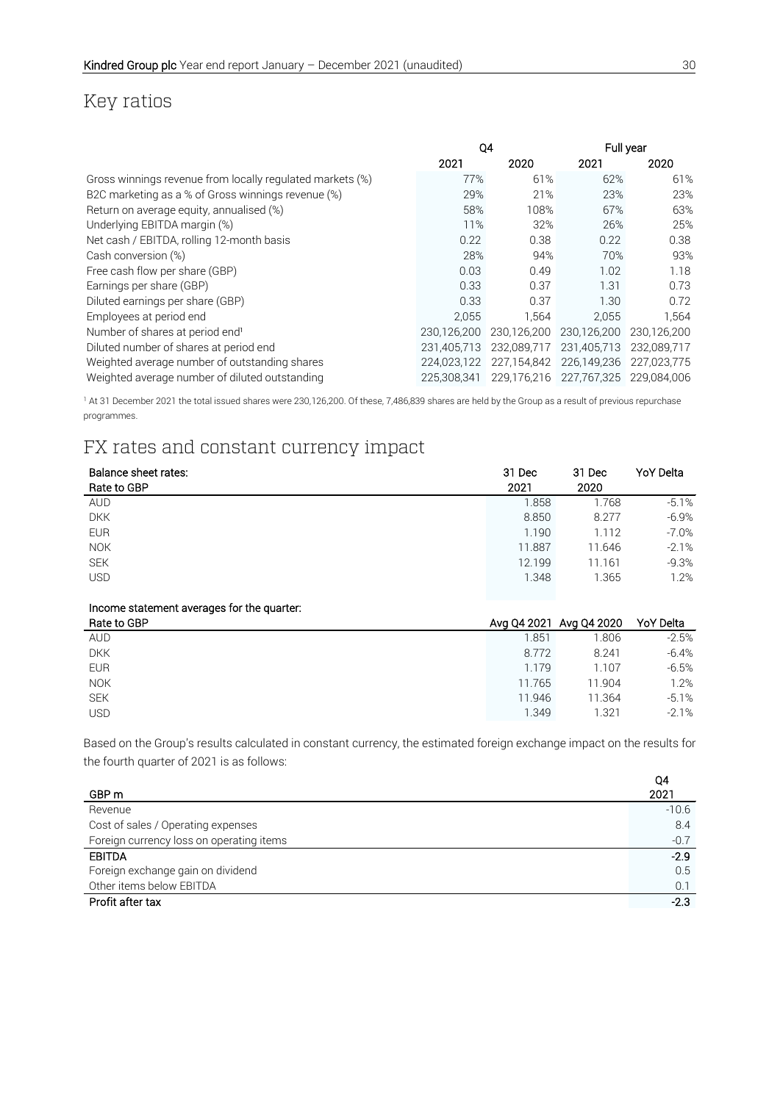# Key ratios

|                                                           | Q4          |             |                         | Full year   |  |  |
|-----------------------------------------------------------|-------------|-------------|-------------------------|-------------|--|--|
|                                                           | 2021        | 2020        | 2021                    | 2020        |  |  |
| Gross winnings revenue from locally regulated markets (%) | 77%         | 61%         | 62%                     | 61%         |  |  |
| B2C marketing as a % of Gross winnings revenue (%)        | 29%         | 21%         | 23%                     | 23%         |  |  |
| Return on average equity, annualised (%)                  | 58%         | 108%        | 67%                     | 63%         |  |  |
| Underlying EBITDA margin (%)                              | 11%         | 32%         | 26%                     | 25%         |  |  |
| Net cash / EBITDA, rolling 12-month basis                 | 0.22        | 0.38        | 0.22                    | 0.38        |  |  |
| Cash conversion (%)                                       | 28%         | 94%         | 70%                     | 93%         |  |  |
| Free cash flow per share (GBP)                            | 0.03        | 0.49        | 1.02                    | 1.18        |  |  |
| Earnings per share (GBP)                                  | 0.33        | 0.37        | 1.31                    | 0.73        |  |  |
| Diluted earnings per share (GBP)                          | 0.33        | 0.37        | 1.30                    | 0.72        |  |  |
| Employees at period end                                   | 2.055       | 1.564       | 2.055                   | 1,564       |  |  |
| Number of shares at period end <sup>1</sup>               | 230.126.200 | 230,126,200 | 230.126.200             | 230.126.200 |  |  |
| Diluted number of shares at period end                    | 231.405.713 | 232.089.717 | 231,405,713             | 232.089.717 |  |  |
| Weighted average number of outstanding shares             | 224.023.122 | 227,154,842 | 226,149,236             | 227.023.775 |  |  |
| Weighted average number of diluted outstanding            | 225.308.341 | 229,176,216 | 227,767,325 229,084,006 |             |  |  |

<sup>1</sup> At 31 December 2021 the total issued shares were 230,126,200. Of these, 7,486,839 shares are held by the Group as a result of previous repurchase programmes.

# FX rates and constant currency impact

| Balance sheet rates: | 31 Dec | 31 Dec | <b>YoY Delta</b> |
|----------------------|--------|--------|------------------|
| Rate to GBP          | 2021   | 2020   |                  |
| <b>AUD</b>           | 1.858  | 1.768  | $-5.1%$          |
| <b>DKK</b>           | 8.850  | 8.277  | $-6.9%$          |
| <b>EUR</b>           | 1.190  | 1.112  | $-7.0\%$         |
| <b>NOK</b>           | 11.887 | 11.646 | $-2.1%$          |
| <b>SEK</b>           | 12.199 | 11.161 | $-9.3%$          |
| <b>USD</b>           | 1.348  | 1.365  | 1.2%             |
|                      |        |        |                  |

#### Income statement averages for the quarter:

| Rate to GBP |        | Avg Q4 2021 Avg Q4 2020 YoY Delta |         |
|-------------|--------|-----------------------------------|---------|
| <b>AUD</b>  | 1.851  | 1.806                             | $-2.5%$ |
| <b>DKK</b>  | 8.772  | 8.241                             | $-6.4%$ |
| <b>EUR</b>  | 1.179  | 1.107                             | $-6.5%$ |
| <b>NOK</b>  | 11.765 | 11.904                            | 1.2%    |
| <b>SEK</b>  | 11.946 | 11.364                            | $-5.1%$ |
| <b>USD</b>  | 1.349  | 1.321                             | $-2.1%$ |
|             |        |                                   |         |

Based on the Group's results calculated in constant currency, the estimated foreign exchange impact on the results for the fourth quarter of 2021 is as follows:

| GBP <sub>m</sub>                         | Q4<br>2021 |
|------------------------------------------|------------|
| Revenue                                  | $-10.6$    |
| Cost of sales / Operating expenses       | 8.4        |
| Foreign currency loss on operating items | $-0.7$     |
| <b>EBITDA</b>                            | $-2.9$     |
| Foreign exchange gain on dividend        | 0.5        |
| Other items below EBITDA                 | 0.1        |
| Profit after tax                         | $-2.3$     |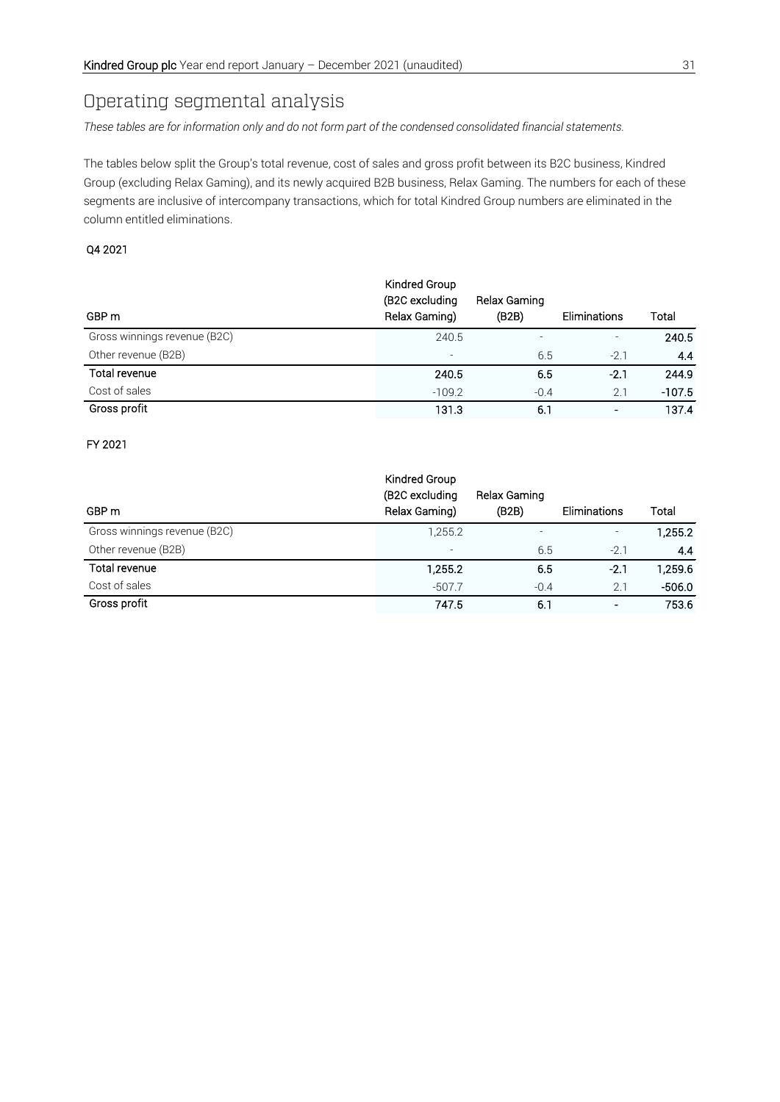# Operating segmental analysis

*These tables are for information only and do not form part of the condensed consolidated financial statements.*

The tables below split the Group's total revenue, cost of sales and gross profit between its B2C business, Kindred Group (excluding Relax Gaming), and its newly acquired B2B business, Relax Gaming. The numbers for each of these segments are inclusive of intercompany transactions, which for total Kindred Group numbers are eliminated in the column entitled eliminations.

#### Q4 2021

| GBP m                        | Kindred Group<br>(B2C excluding<br>Relax Gaming) | Relax Gaming<br>(B2B)    | Eliminations   | Total    |
|------------------------------|--------------------------------------------------|--------------------------|----------------|----------|
| Gross winnings revenue (B2C) | 240.5                                            | $\overline{\phantom{0}}$ |                | 240.5    |
| Other revenue (B2B)          | $\overline{\phantom{a}}$                         | 6.5                      | $-2.1$         | 4.4      |
| Total revenue                | 240.5                                            | 6.5                      | $-2.1$         | 244.9    |
| Cost of sales                | $-109.2$                                         | $-0.4$                   | 2.1            | $-107.5$ |
| Gross profit                 | 131.3                                            | 6.1                      | $\blacksquare$ | 137.4    |

#### FY 2021

| GBP m                        | Kindred Group<br>(B2C excluding<br>Relax Gaming) | Relax Gaming<br>(B2B) | Eliminations | Total    |
|------------------------------|--------------------------------------------------|-----------------------|--------------|----------|
| Gross winnings revenue (B2C) | 1,255.2                                          |                       |              | 1,255.2  |
| Other revenue (B2B)          | $\overline{\phantom{a}}$                         | 6.5                   | $-2.1$       | 4.4      |
| Total revenue                | 1,255.2                                          | 6.5                   | $-2.1$       | 1,259.6  |
| Cost of sales                | $-507.7$                                         | $-0.4$                | 2.1          | $-506.0$ |
| Gross profit                 | 747.5                                            | 6.1                   |              | 753.6    |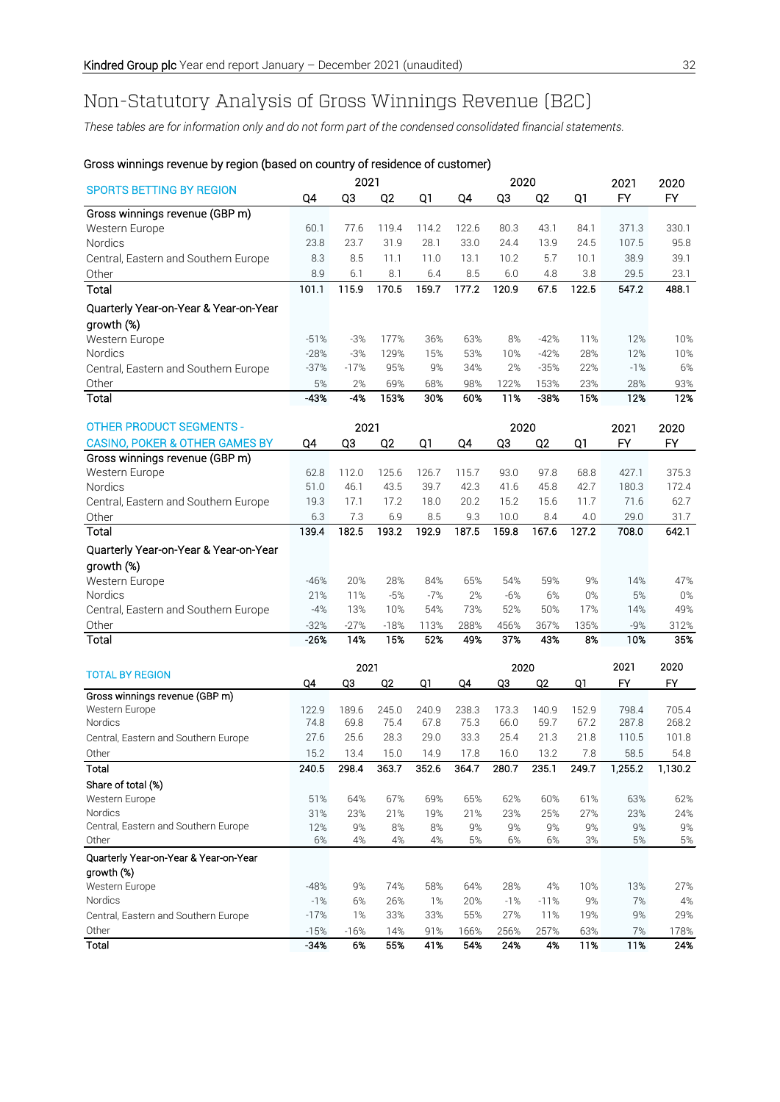# Non-Statutory Analysis of Gross Winnings Revenue (B2C)

*These tables are for information only and do not form part of the condensed consolidated financial statements.*

|                                           |            | 2021      |                |           |            | 2020      |                |            | 2021      | 2020      |
|-------------------------------------------|------------|-----------|----------------|-----------|------------|-----------|----------------|------------|-----------|-----------|
| <b>SPORTS BETTING BY REGION</b>           | Q4         | Q3        | Q <sub>2</sub> | Q1        | Q4         | Q3        | Q <sub>2</sub> | Q1         | <b>FY</b> | <b>FY</b> |
| Gross winnings revenue (GBP m)            |            |           |                |           |            |           |                |            |           |           |
| Western Europe                            | 60.1       | 77.6      | 119.4          | 114.2     | 122.6      | 80.3      | 43.1           | 84.1       | 371.3     | 330.1     |
| Nordics                                   | 23.8       | 23.7      | 31.9           | 28.1      | 33.0       | 24.4      | 13.9           | 24.5       | 107.5     | 95.8      |
| Central, Eastern and Southern Europe      | 8.3        | 8.5       | 11.1           | 11.0      | 13.1       | 10.2      | 5.7            | 10.1       | 38.9      | 39.1      |
| Other                                     | 8.9        | 6.1       | 8.1            | 6.4       | 8.5        | 6.0       | 4.8            | 3.8        | 29.5      | 23.1      |
| Total                                     | 101.1      | 115.9     | 170.5          | 159.7     | 177.2      | 120.9     | 67.5           | 122.5      | 547.2     | 488.1     |
| Quarterly Year-on-Year & Year-on-Year     |            |           |                |           |            |           |                |            |           |           |
| growth (%)                                |            |           |                |           |            |           |                |            |           |           |
| Western Europe                            | $-51%$     | $-3%$     | 177%           | 36%       | 63%        | 8%        | $-42%$         | 11%        | 12%       | 10%       |
| Nordics                                   | $-28%$     | $-3%$     | 129%           | 15%       | 53%        | 10%       | $-42%$         | 28%        | 12%       | 10%       |
| Central, Eastern and Southern Europe      | $-37%$     | $-17%$    | 95%            | 9%        | 34%        | 2%        | $-35%$         | 22%        | $-1%$     | 6%        |
| Other                                     | 5%         | 2%        | 69%            | 68%       | 98%        | 122%      | 153%           | 23%        | 28%       | 93%       |
| Total                                     | $-43%$     | $-4%$     | 153%           | 30%       | 60%        | 11%       | $-38%$         | 15%        | 12%       | 12%       |
| <b>OTHER PRODUCT SEGMENTS -</b>           |            | 2021      |                |           |            | 2020      |                |            | 2021      | 2020      |
| <b>CASINO, POKER &amp; OTHER GAMES BY</b> | Q4         | QЗ        | Q <sub>2</sub> | Q1        | Q4         | Q3        | Q <sub>2</sub> | Q1         | FY        | <b>FY</b> |
| Gross winnings revenue (GBP m)            |            |           |                |           |            |           |                |            |           |           |
| Western Europe                            | 62.8       | 112.0     | 125.6          | 126.7     | 115.7      | 93.0      | 97.8           | 68.8       | 427.1     | 375.3     |
| Nordics                                   | 51.0       | 46.1      | 43.5           | 39.7      | 42.3       | 41.6      | 45.8           | 42.7       | 180.3     | 172.4     |
| Central, Eastern and Southern Europe      | 19.3       | 17.1      | 17.2           | 18.0      | 20.2       | 15.2      | 15.6           | 11.7       | 71.6      | 62.7      |
| Other                                     | 6.3        | 7.3       | 6.9            | 8.5       | 9.3        | 10.0      | 8.4            | 4.0        | 29.0      | 31.7      |
| Total                                     | 139.4      | 182.5     | 193.2          | 192.9     | 187.5      | 159.8     | 167.6          | 127.2      | 708.0     | 642.1     |
| Quarterly Year-on-Year & Year-on-Year     |            |           |                |           |            |           |                |            |           |           |
| growth (%)                                |            |           |                |           |            |           |                |            |           |           |
| Western Europe                            | $-46%$     | 20%       | 28%            | 84%       | 65%        | 54%       | 59%            | 9%         | 14%       | 47%       |
| Nordics                                   | 21%        | 11%       | $-5%$          | $-7%$     | 2%         | $-6%$     | 6%             | $0\%$      | 5%        | $0\%$     |
| Central, Eastern and Southern Europe      | $-4%$      | 13%       | 10%            | 54%       | 73%        | 52%       | 50%            | 17%        | 14%       | 49%       |
| Other                                     | $-32%$     | $-27%$    | $-18%$         | 113%      | 288%       | 456%      | 367%           | 135%       | $-9%$     | 312%      |
| Total                                     | -26%       | 14%       | 15%            | 52%       | 49%        | 37%       | 43%            | 8%         | 10%       | 35%       |
|                                           |            |           |                |           |            |           |                |            |           |           |
| <b>TOTAL BY REGION</b>                    |            | 2021      |                |           |            | 2020      |                |            | 2021      | 2020      |
|                                           | Q4         | <u>QЗ</u> | Q <sub>2</sub> | Q1        | Q4         | Q3        | Q <sub>2</sub> | Q1         | <b>FY</b> | <b>FY</b> |
| Gross winnings revenue (GBP m)            |            |           |                |           |            |           |                |            |           |           |
| Western Europe                            | 122.9      | 189.6     | 245.0          | 240.9     | 238.3      | 173.3     | 140.9          | 152.9      | 798.4     | 705.4     |
| Nordics                                   | 74.8       | 69.8      | 75.4           | 67.8      | 75.3       | 66.0      | 59.7           | 67.2       | 287.8     | 268.2     |
| Central, Eastern and Southern Europe      | 27.6       | 25.6      | 28.3           | 29.0      | 33.3       | 25.4      | 21.3           | 21.8       | 110.5     | 101.8     |
| Other                                     | 15.2       | 13.4      | 15.0           | 14.9      | 17.8       | 16.0      | 132            | 7.8        | 58.5      | 54.8      |
| Total                                     | 240.5      | 298.4     | 363.7          | 352.6     | 364.7      | 280.7     | 235.1          | 249.7      | 1,255.2   | 1,130.2   |
| Share of total (%)                        |            |           |                |           |            |           |                |            |           |           |
| Western Europe<br>Nordics                 | 51%<br>31% | 64%       | 67%            | 69%       | 65%<br>21% | 62%       | 60%<br>25%     | 61%<br>27% | 63%       | 62%       |
| Central, Eastern and Southern Europe      | 12%        | 23%<br>9% | 21%<br>8%      | 19%<br>8% | 9%         | 23%<br>9% | 9%             | 9%         | 23%<br>9% | 24%<br>9% |
| Other                                     | 6%         | 4%        | 4%             | 4%        | 5%         | 6%        | 6%             | 3%         | 5%        | $5\%$     |
| Quarterly Year-on-Year & Year-on-Year     |            |           |                |           |            |           |                |            |           |           |
| growth (%)                                |            |           |                |           |            |           |                |            |           |           |
| Western Europe                            | $-48%$     | 9%        | 74%            | 58%       | 64%        | 28%       | 4%             | 10%        | 13%       | 27%       |
| Nordics                                   | $-1%$      | 6%        | 26%            | 1%        | 20%        | $-1%$     | $-11%$         | 9%         | 7%        | $4\%$     |
| Central, Eastern and Southern Europe      | $-17%$     | 1%        | 33%            | 33%       | 55%        | 27%       | 11%            | 19%        | 9%        | 29%       |
| Other                                     | $-15%$     | $-16%$    | 14%            | 91%       | 166%       | 256%      | 257%           | 63%        | 7%        | 178%      |
| Total                                     | $-34%$     | 6%        | 55%            | 41%       | 54%        | 24%       | 4%             | 11%        | 11%       | 24%       |

#### Gross winnings revenue by region (based on country of residence of customer)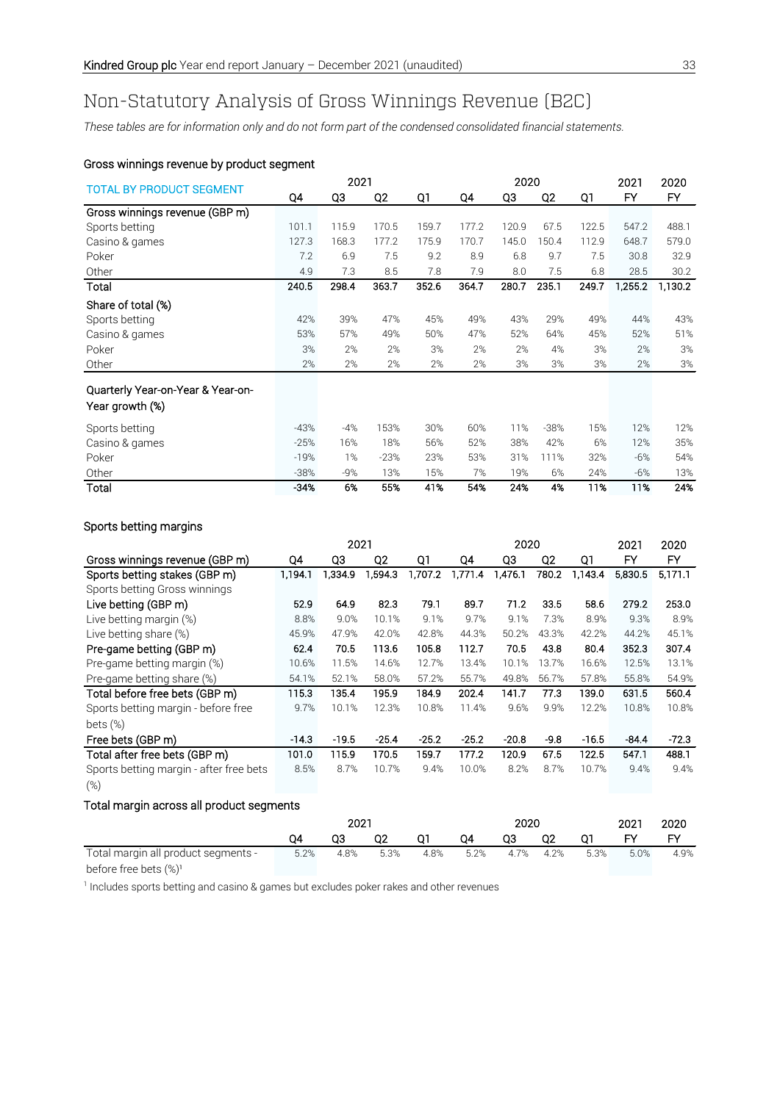# Non-Statutory Analysis of Gross Winnings Revenue (B2C)

*These tables are for information only and do not form part of the condensed consolidated financial statements.*

#### Gross winnings revenue by product segment

|                                   |        | 2021  |                |       |       | 2020  |                |       | 2021    | 2020    |
|-----------------------------------|--------|-------|----------------|-------|-------|-------|----------------|-------|---------|---------|
| <b>TOTAL BY PRODUCT SEGMENT</b>   | Q4     | QЗ    | Q <sub>2</sub> | Q1    | Q4    | Q3    | Q <sub>2</sub> | Q1    | FY      | FY      |
| Gross winnings revenue (GBP m)    |        |       |                |       |       |       |                |       |         |         |
| Sports betting                    | 101.1  | 115.9 | 170.5          | 159.7 | 177.2 | 120.9 | 67.5           | 122.5 | 547.2   | 488.1   |
| Casino & games                    | 127.3  | 168.3 | 177.2          | 175.9 | 170.7 | 145.0 | 150.4          | 112.9 | 648.7   | 579.0   |
| Poker                             | 7.2    | 6.9   | 7.5            | 9.2   | 8.9   | 6.8   | 9.7            | 7.5   | 30.8    | 32.9    |
| Other                             | 4.9    | 7.3   | 8.5            | 7.8   | 7.9   | 8.0   | 7.5            | 6.8   | 28.5    | 30.2    |
| Total                             | 240.5  | 298.4 | 363.7          | 352.6 | 364.7 | 280.7 | 235.1          | 249.7 | 1,255.2 | 1,130.2 |
| Share of total (%)                |        |       |                |       |       |       |                |       |         |         |
| Sports betting                    | 42%    | 39%   | 47%            | 45%   | 49%   | 43%   | 29%            | 49%   | 44%     | 43%     |
| Casino & games                    | 53%    | 57%   | 49%            | 50%   | 47%   | 52%   | 64%            | 45%   | 52%     | 51%     |
| Poker                             | 3%     | 2%    | 2%             | 3%    | 2%    | 2%    | 4%             | 3%    | 2%      | 3%      |
| Other                             | 2%     | 2%    | 2%             | 2%    | 2%    | 3%    | 3%             | 3%    | 2%      | 3%      |
| Quarterly Year-on-Year & Year-on- |        |       |                |       |       |       |                |       |         |         |
| Year growth (%)                   |        |       |                |       |       |       |                |       |         |         |
| Sports betting                    | $-43%$ | $-4%$ | 153%           | 30%   | 60%   | 11%   | $-38%$         | 15%   | 12%     | 12%     |
| Casino & games                    | $-25%$ | 16%   | 18%            | 56%   | 52%   | 38%   | 42%            | 6%    | 12%     | 35%     |
| Poker                             | $-19%$ | 1%    | $-23%$         | 23%   | 53%   | 31%   | 111%           | 32%   | $-6%$   | 54%     |
| Other                             | $-38%$ | $-9%$ | 13%            | 15%   | 7%    | 19%   | 6%             | 24%   | $-6%$   | 13%     |
| Total                             | $-34%$ | 6%    | 55%            | 41%   | 54%   | 24%   | 4%             | 11%   | 11%     | 24%     |

#### Sports betting margins

|                                         |         | 2021    |         |         | 2020    |         |                |         | 2021    | 2020    |
|-----------------------------------------|---------|---------|---------|---------|---------|---------|----------------|---------|---------|---------|
| Gross winnings revenue (GBP m)          | Q4      | Q3      | Q2      | Q1      | Q4      | Q3      | Q <sub>2</sub> | Q1      | FY      | FY      |
| Sports betting stakes (GBP m)           | 1.194.1 | 1,334.9 | 1,594.3 | 1,707.2 | 1,771.4 | .476.1  | 780.2          | 1,143.4 | 5,830.5 | 5,171.1 |
| Sports betting Gross winnings           |         |         |         |         |         |         |                |         |         |         |
| Live betting (GBP m)                    | 52.9    | 64.9    | 82.3    | 79.1    | 89.7    | 71.2    | 33.5           | 58.6    | 279.2   | 253.0   |
| Live betting margin (%)                 | 8.8%    | 9.0%    | 10.1%   | 9.1%    | 9.7%    | 9.1%    | 7.3%           | 8.9%    | 9.3%    | 8.9%    |
| Live betting share (%)                  | 45.9%   | 47.9%   | 42.0%   | 42.8%   | 44.3%   | 50.2%   | 43.3%          | 42.2%   | 44.2%   | 45.1%   |
| Pre-game betting (GBP m)                | 62.4    | 70.5    | 113.6   | 105.8   | 112.7   | 70.5    | 43.8           | 80.4    | 352.3   | 307.4   |
| Pre-game betting margin (%)             | 10.6%   | 11.5%   | 14.6%   | 12.7%   | 13.4%   | 10.1%   | 13.7%          | 16.6%   | 12.5%   | 13.1%   |
| Pre-game betting share (%)              | 54.1%   | 52.1%   | 58.0%   | 57.2%   | 55.7%   | 49.8%   | 56.7%          | 57.8%   | 55.8%   | 54.9%   |
| Total before free bets (GBP m)          | 115.3   | 135.4   | 195.9   | 184.9   | 202.4   | 141.7   | 77.3           | 139.0   | 631.5   | 560.4   |
| Sports betting margin - before free     | 9.7%    | 10.1%   | 12.3%   | 10.8%   | 11.4%   | 9.6%    | 9.9%           | 12.2%   | 10.8%   | 10.8%   |
| bets $(\%)$                             |         |         |         |         |         |         |                |         |         |         |
| Free bets (GBP m)                       | $-14.3$ | $-19.5$ | $-25.4$ | $-25.2$ | $-25.2$ | $-20.8$ | $-9.8$         | $-16.5$ | $-84.4$ | $-72.3$ |
| Total after free bets (GBP m)           | 101.0   | 115.9   | 170.5   | 159.7   | 177.2   | 120.9   | 67.5           | 122.5   | 547.1   | 488.1   |
| Sports betting margin - after free bets | 8.5%    | 8.7%    | 10.7%   | 9.4%    | 10.0%   | 8.2%    | 8.7%           | 10.7%   | 9.4%    | 9.4%    |
| $(\%)$                                  |         |         |         |         |         |         |                |         |         |         |

#### Total margin across all product segments

|                                                                                         | 2021 |      |      |      | 2020    |    |                |      | 2021 | 2020 |
|-----------------------------------------------------------------------------------------|------|------|------|------|---------|----|----------------|------|------|------|
|                                                                                         | O4   | O3   | Q2   | Q1   | Q4      | Q3 | Q <sub>2</sub> | Q1   | FY.  | FΥ   |
| Total margin all product segments -<br>$\sim$ $\sim$ $\sim$ $\sim$ $\sim$ $\sim$ $\sim$ | 5.2% | 4.8% | 5.3% | 4.8% | $5.2\%$ |    | 4.7% 4.2%      | 5.3% | 5.0% | 4.9% |

before free bets (%)<sup>1</sup>

<sup>1</sup> Includes sports betting and casino & games but excludes poker rakes and other revenues